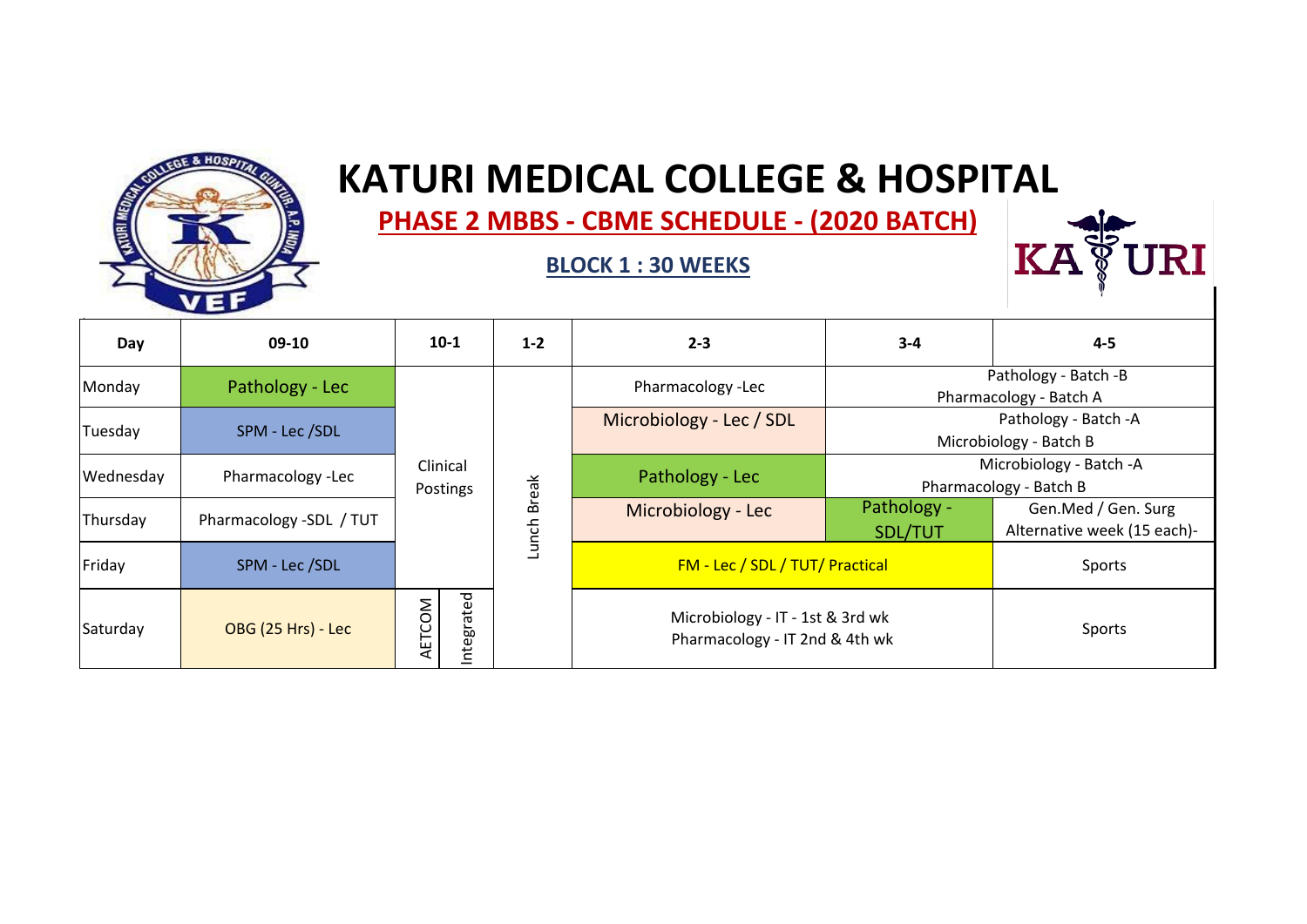

# **EXECUTE: RATURI MEDICAL COLLEGE & HOSPITAL**

 **PHASE 2 MBBS ‐ CBME SCHEDULE ‐ (2020 BATCH)**

#### **BLOCK 1 : 30 WEEKS**



| Day       | 09-10                     | $10-1$               | $1 - 2$      | $2 - 3$                                                            | $3 - 4$                | $4 - 5$                                            |
|-----------|---------------------------|----------------------|--------------|--------------------------------------------------------------------|------------------------|----------------------------------------------------|
| Monday    | Pathology - Lec           |                      |              | Pharmacology -Lec                                                  |                        | Pathology - Batch -B<br>Pharmacology - Batch A     |
| Tuesday   | SPM - Lec /SDL            |                      |              | Microbiology - Lec / SDL                                           |                        | Pathology - Batch -A<br>Microbiology - Batch B     |
| Wednesday | Pharmacology -Lec         | Clinical<br>Postings | <b>Break</b> | Pathology - Lec                                                    |                        | Microbiology - Batch -A<br>Pharmacology - Batch B  |
| Thursday  | Pharmacology -SDL / TUT   |                      | Lunch        | Microbiology - Lec                                                 | Pathology -<br>SDL/TUT | Gen.Med / Gen. Surg<br>Alternative week (15 each)- |
| Friday    | SPM - Lec /SDL            |                      |              | FM - Lec / SDL / TUT/ Practical                                    |                        | Sports                                             |
| Saturday  | <b>OBG (25 Hrs) - Lec</b> | ntegrated<br>AETCOM  |              | Microbiology - IT - 1st & 3rd wk<br>Pharmacology - IT 2nd & 4th wk |                        | Sports                                             |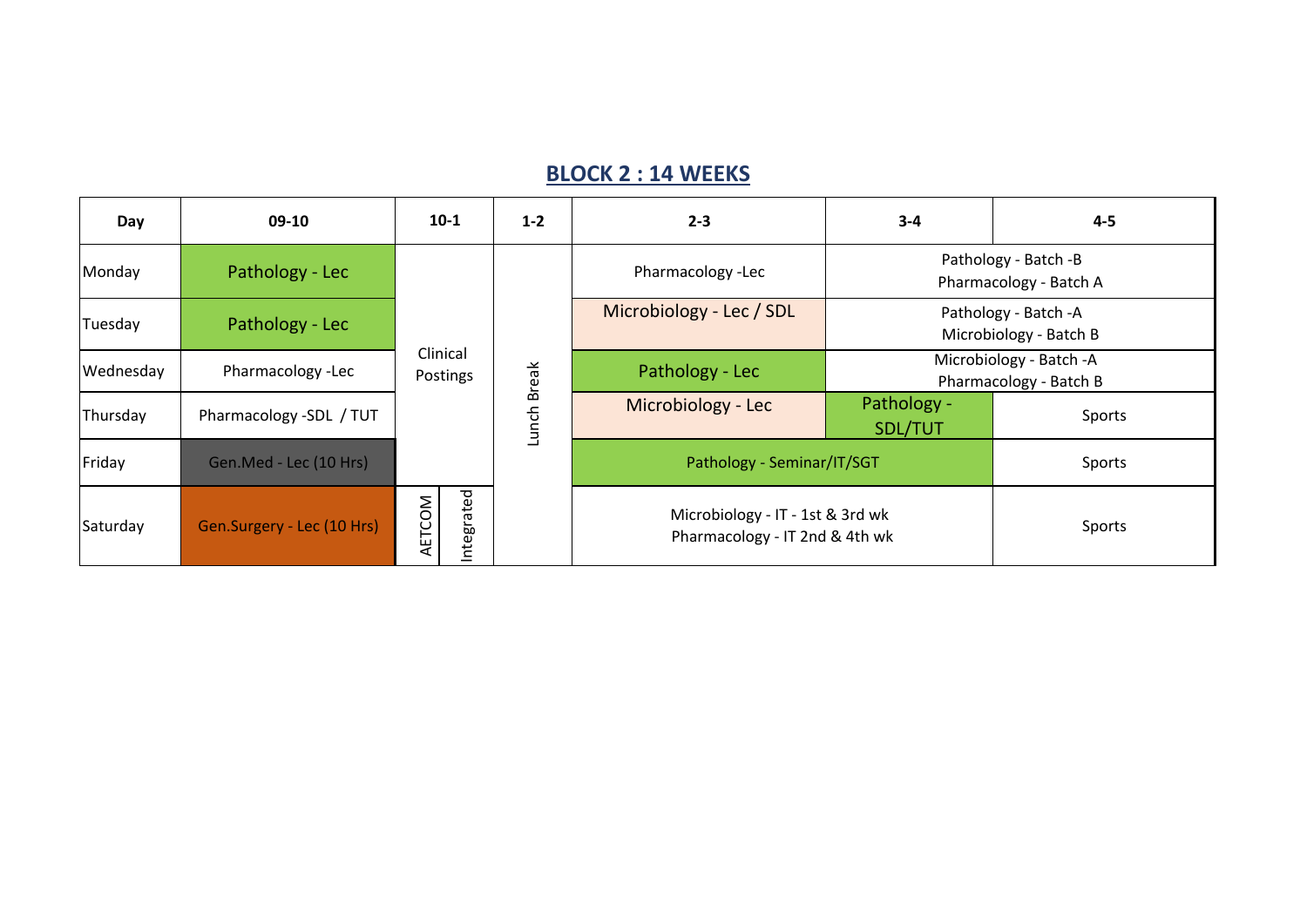#### **BLOCK 2 : 14 WEEKS**

| Day       | 09-10                      | $10-1$               | $1 - 2$      | $2 - 3$                                                            | $3 - 4$                                        | $4 - 5$                                           |
|-----------|----------------------------|----------------------|--------------|--------------------------------------------------------------------|------------------------------------------------|---------------------------------------------------|
| Monday    | Pathology - Lec            |                      |              | Pharmacology -Lec                                                  | Pathology - Batch -B<br>Pharmacology - Batch A |                                                   |
| Tuesday   | Pathology - Lec            |                      |              | Microbiology - Lec / SDL                                           |                                                | Pathology - Batch - A<br>Microbiology - Batch B   |
| Wednesday | Pharmacology -Lec          | Clinical<br>Postings | <b>Break</b> | Pathology - Lec                                                    |                                                | Microbiology - Batch -A<br>Pharmacology - Batch B |
| Thursday  | Pharmacology -SDL / TUT    |                      | Lunch        | Microbiology - Lec                                                 | Pathology -<br>SDL/TUT                         | Sports                                            |
| Friday    | Gen.Med - Lec (10 Hrs)     |                      |              | Pathology - Seminar/IT/SGT                                         |                                                | Sports                                            |
| Saturday  | Gen.Surgery - Lec (10 Hrs) | Integrated<br>AETCOM |              | Microbiology - IT - 1st & 3rd wk<br>Pharmacology - IT 2nd & 4th wk |                                                | Sports                                            |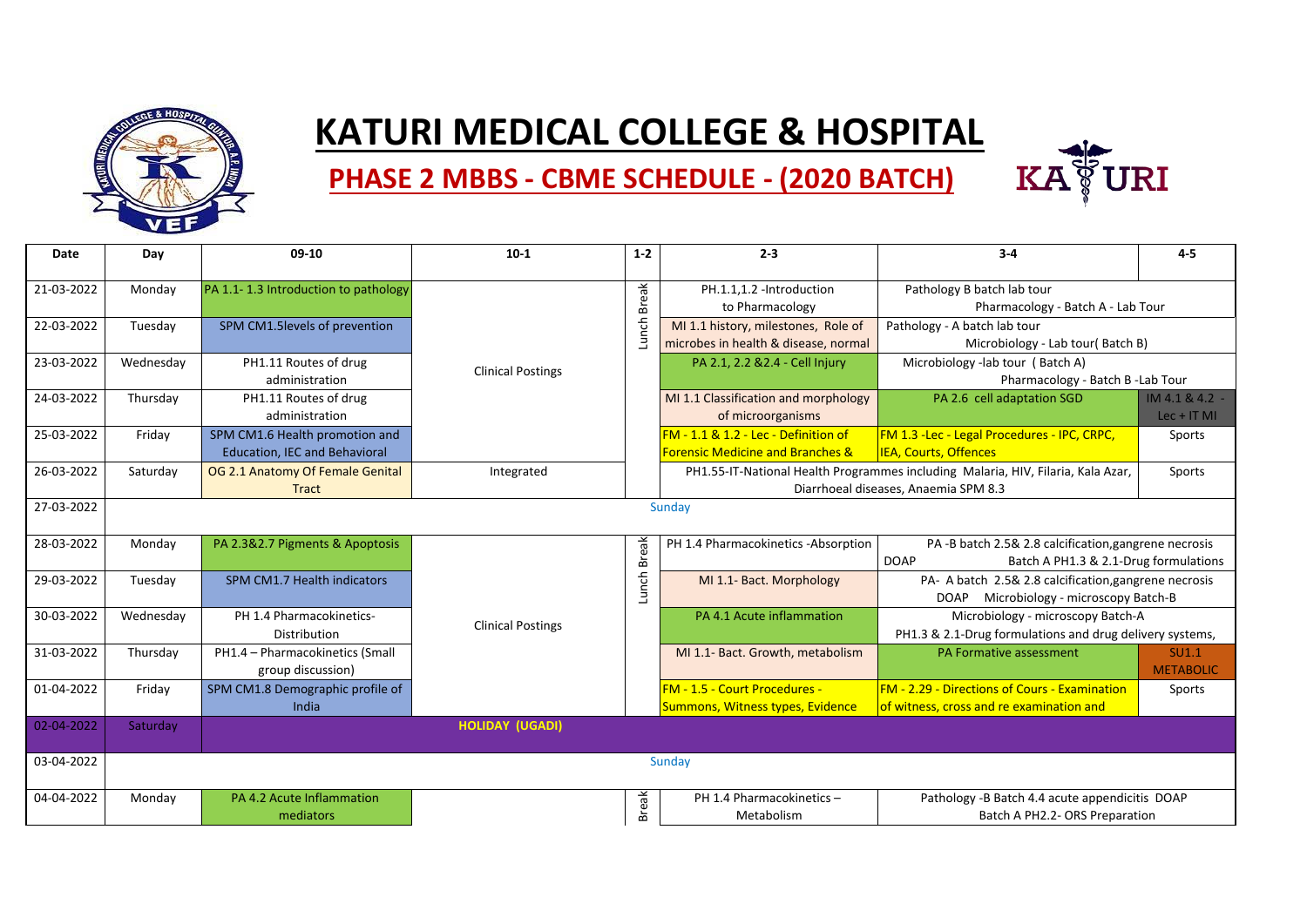

## **KATURI MEDICAL COLLEGE & HOSPITAL**



### **PHASE 2 MBBS ‐ CBME SCHEDULE ‐ (2020 BATCH)**

| Date       | Day       | 09-10                                | $10-1$                   | $1 - 2$      | $2 - 3$                                     | $3 - 4$                                                                          | $4-5$            |
|------------|-----------|--------------------------------------|--------------------------|--------------|---------------------------------------------|----------------------------------------------------------------------------------|------------------|
| 21-03-2022 | Monday    | PA 1.1-1.3 Introduction to pathology |                          |              | PH.1.1,1.2 -Introduction                    | Pathology B batch lab tour                                                       |                  |
|            |           |                                      |                          | <b>Break</b> | to Pharmacology                             | Pharmacology - Batch A - Lab Tour                                                |                  |
| 22-03-2022 | Tuesday   | SPM CM1.5levels of prevention        |                          | Lunch        | MI 1.1 history, milestones, Role of         | Pathology - A batch lab tour                                                     |                  |
|            |           |                                      |                          |              | microbes in health & disease, normal        | Microbiology - Lab tour(Batch B)                                                 |                  |
| 23-03-2022 | Wednesday | PH1.11 Routes of drug                | <b>Clinical Postings</b> |              | PA 2.1, 2.2 & 2.4 - Cell Injury             | Microbiology -lab tour (Batch A)                                                 |                  |
|            |           | administration                       |                          |              |                                             | Pharmacology - Batch B - Lab Tour                                                |                  |
| 24-03-2022 | Thursday  | PH1.11 Routes of drug                |                          |              | MI 1.1 Classification and morphology        | PA 2.6 cell adaptation SGD                                                       | IM 4.1 & 4.2 -   |
|            |           | administration                       |                          |              | of microorganisms                           |                                                                                  | $Lec + IT MI$    |
| 25-03-2022 | Friday    | SPM CM1.6 Health promotion and       |                          |              | FM - 1.1 & 1.2 - Lec - Definition of        | FM 1.3 - Lec - Legal Procedures - IPC, CRPC,                                     | Sports           |
|            |           | <b>Education, IEC and Behavioral</b> |                          |              | <b>Forensic Medicine and Branches &amp;</b> | <b>IEA, Courts, Offences</b>                                                     |                  |
| 26-03-2022 | Saturday  | OG 2.1 Anatomy Of Female Genital     | Integrated               |              |                                             | PH1.55-IT-National Health Programmes including Malaria, HIV, Filaria, Kala Azar, | Sports           |
|            |           | <b>Tract</b>                         |                          |              |                                             | Diarrhoeal diseases, Anaemia SPM 8.3                                             |                  |
| 27-03-2022 |           |                                      |                          |              | Sundav                                      |                                                                                  |                  |
| 28-03-2022 | Monday    | PA 2.3&2.7 Pigments & Apoptosis      |                          |              | PH 1.4 Pharmacokinetics -Absorption         | PA-B batch 2.5& 2.8 calcification, gangrene necrosis                             |                  |
|            |           |                                      |                          | Lunch Break  |                                             | <b>DOAP</b><br>Batch A PH1.3 & 2.1-Drug formulations                             |                  |
| 29-03-2022 | Tuesday   | SPM CM1.7 Health indicators          |                          |              | MI 1.1- Bact. Morphology                    | PA- A batch 2.5& 2.8 calcification, gangrene necrosis                            |                  |
|            |           |                                      |                          |              |                                             | DOAP Microbiology - microscopy Batch-B                                           |                  |
| 30-03-2022 | Wednesday | PH 1.4 Pharmacokinetics-             | <b>Clinical Postings</b> |              | PA 4.1 Acute inflammation                   | Microbiology - microscopy Batch-A                                                |                  |
|            |           | Distribution                         |                          |              |                                             | PH1.3 & 2.1-Drug formulations and drug delivery systems,                         |                  |
| 31-03-2022 | Thursday  | PH1.4 - Pharmacokinetics (Small      |                          |              | MI 1.1- Bact. Growth, metabolism            | PA Formative assessment                                                          | <b>SU1.1</b>     |
|            |           | group discussion)                    |                          |              |                                             |                                                                                  | <b>METABOLIC</b> |
| 01-04-2022 | Friday    | SPM CM1.8 Demographic profile of     |                          |              | FM - 1.5 - Court Procedures -               | <b>FM - 2.29 - Directions of Cours - Examination</b>                             | Sports           |
|            |           | India                                |                          |              | Summons, Witness types, Evidence            | of witness, cross and re examination and                                         |                  |
| 02-04-2022 | Saturday  |                                      | <b>HOLIDAY (UGADI)</b>   |              |                                             |                                                                                  |                  |
| 03-04-2022 |           |                                      |                          |              | Sunday                                      |                                                                                  |                  |
| 04-04-2022 | Monday    | PA 4.2 Acute Inflammation            |                          |              | PH 1.4 Pharmacokinetics -                   | Pathology -B Batch 4.4 acute appendicitis DOAP                                   |                  |
|            |           | mediators                            |                          | <b>Break</b> | Metabolism                                  | Batch A PH2.2- ORS Preparation                                                   |                  |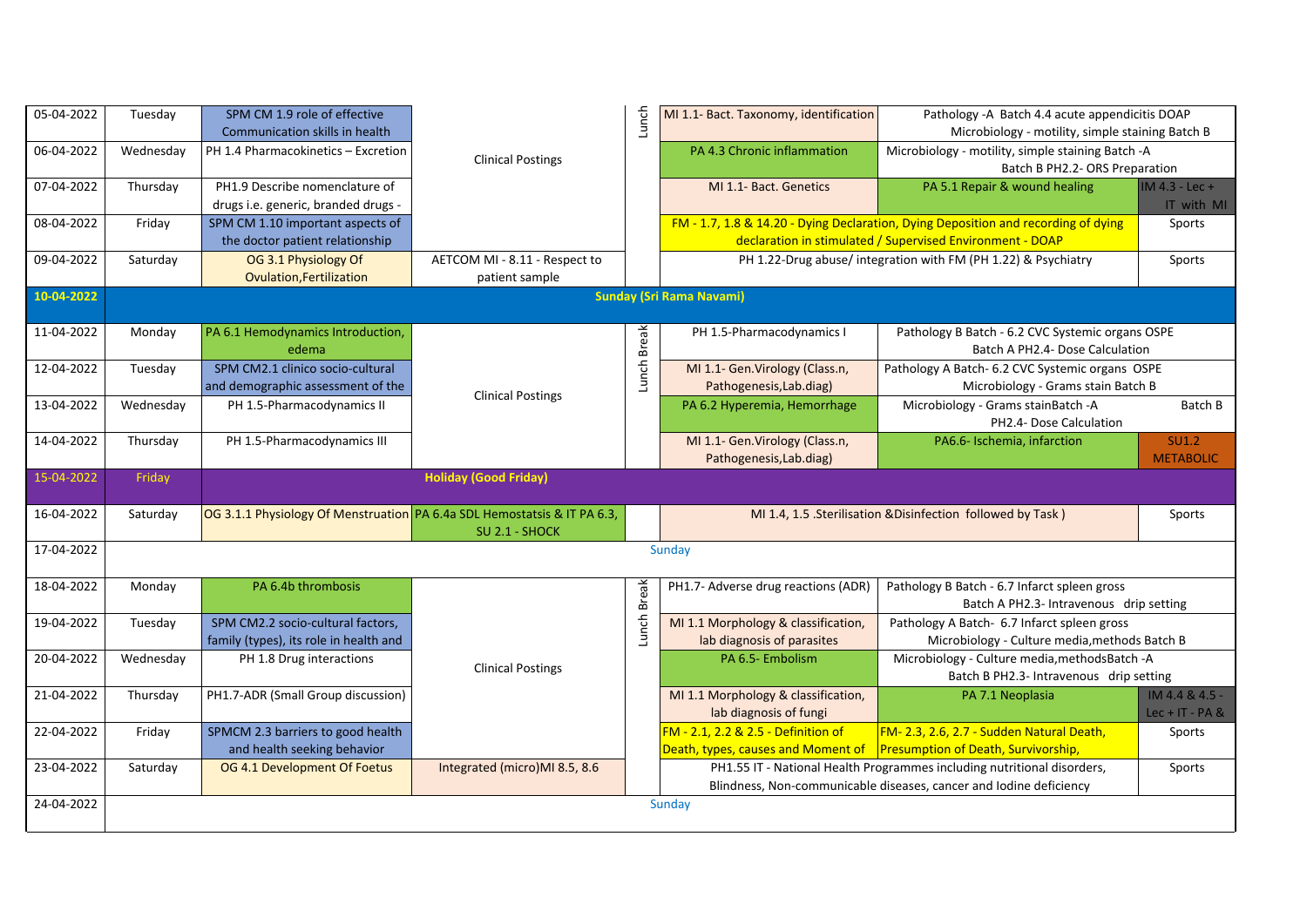| 05-04-2022 | Tuesday   | SPM CM 1.9 role of effective<br>Communication skills in health              |                                                 | Lunch        | MI 1.1- Bact. Taxonomy, identification                                    | Pathology -A Batch 4.4 acute appendicitis DOAP<br>Microbiology - motility, simple staining Batch B                                              |                                     |
|------------|-----------|-----------------------------------------------------------------------------|-------------------------------------------------|--------------|---------------------------------------------------------------------------|-------------------------------------------------------------------------------------------------------------------------------------------------|-------------------------------------|
| 06-04-2022 | Wednesday | PH 1.4 Pharmacokinetics - Excretion                                         | <b>Clinical Postings</b>                        |              | PA 4.3 Chronic inflammation                                               | Microbiology - motility, simple staining Batch -A<br>Batch B PH2.2- ORS Preparation                                                             |                                     |
| 07-04-2022 | Thursday  | PH1.9 Describe nomenclature of<br>drugs i.e. generic, branded drugs -       |                                                 |              | MI 1.1- Bact. Genetics                                                    | PA 5.1 Repair & wound healing                                                                                                                   | IM 4.3 - Lec +<br>IT with MI        |
| 08-04-2022 | Friday    | SPM CM 1.10 important aspects of<br>the doctor patient relationship         |                                                 |              |                                                                           | FM - 1.7, 1.8 & 14.20 - Dying Declaration, Dying Deposition and recording of dying<br>declaration in stimulated / Supervised Environment - DOAP | Sports                              |
| 09-04-2022 | Saturday  | OG 3.1 Physiology Of<br><b>Ovulation, Fertilization</b>                     | AETCOM MI - 8.11 - Respect to<br>patient sample |              |                                                                           | PH 1.22-Drug abuse/ integration with FM (PH 1.22) & Psychiatry                                                                                  | Sports                              |
| 10-04-2022 |           |                                                                             |                                                 |              | <b>Sunday (Sri Rama Navami)</b>                                           |                                                                                                                                                 |                                     |
| 11-04-2022 | Monday    | PA 6.1 Hemodynamics Introduction,<br>edema                                  |                                                 | Lunch Break  | PH 1.5-Pharmacodynamics I                                                 | Pathology B Batch - 6.2 CVC Systemic organs OSPE<br>Batch A PH2.4- Dose Calculation                                                             |                                     |
| 12-04-2022 | Tuesday   | SPM CM2.1 clinico socio-cultural<br>and demographic assessment of the       | <b>Clinical Postings</b>                        |              | MI 1.1- Gen. Virology (Class.n,<br>Pathogenesis, Lab.diag)                | Pathology A Batch- 6.2 CVC Systemic organs OSPE<br>Microbiology - Grams stain Batch B                                                           |                                     |
| 13-04-2022 | Wednesday | PH 1.5-Pharmacodynamics II                                                  |                                                 |              | PA 6.2 Hyperemia, Hemorrhage                                              | Microbiology - Grams stainBatch -A<br>PH2.4- Dose Calculation                                                                                   | Batch B                             |
| 14-04-2022 | Thursday  | PH 1.5-Pharmacodynamics III                                                 |                                                 |              | MI 1.1- Gen. Virology (Class.n,<br>Pathogenesis, Lab.diag)                | PA6.6- Ischemia, infarction                                                                                                                     | SU1.2<br><b>METABOLIC</b>           |
| 15-04-2022 | Friday    |                                                                             | <b>Holiday (Good Friday)</b>                    |              |                                                                           |                                                                                                                                                 |                                     |
| 16-04-2022 | Saturday  | OG 3.1.1 Physiology Of Menstruation PA 6.4a SDL Hemostatsis & IT PA 6.3,    | SU 2.1 - SHOCK                                  |              |                                                                           | MI 1.4, 1.5 .Sterilisation & Disinfection followed by Task)                                                                                     | Sports                              |
| 17-04-2022 |           |                                                                             |                                                 |              | Sunday                                                                    |                                                                                                                                                 |                                     |
| 18-04-2022 | Monday    | PA 6.4b thrombosis                                                          |                                                 | <b>Break</b> | PH1.7- Adverse drug reactions (ADR)                                       | Pathology B Batch - 6.7 Infarct spleen gross<br>Batch A PH2.3- Intravenous drip setting                                                         |                                     |
| 19-04-2022 | Tuesday   | SPM CM2.2 socio-cultural factors,<br>family (types), its role in health and |                                                 | Lunch        | MI 1.1 Morphology & classification,<br>lab diagnosis of parasites         | Pathology A Batch- 6.7 Infarct spleen gross<br>Microbiology - Culture media, methods Batch B                                                    |                                     |
| 20-04-2022 | Wednesday | PH 1.8 Drug interactions                                                    | <b>Clinical Postings</b>                        |              | PA 6.5- Embolism                                                          | Microbiology - Culture media, methods Batch - A<br>Batch B PH2.3- Intravenous drip setting                                                      |                                     |
| 21-04-2022 | Thursday  | PH1.7-ADR (Small Group discussion)                                          |                                                 |              | MI 1.1 Morphology & classification,<br>lab diagnosis of fungi             | PA 7.1 Neoplasia                                                                                                                                | IM 4.4 & 4.5 -<br>Lec + $IT - PA &$ |
| 22-04-2022 | Friday    | SPMCM 2.3 barriers to good health<br>and health seeking behavior            |                                                 |              | FM - 2.1, 2.2 & 2.5 - Definition of<br>Death, types, causes and Moment of | FM-2.3, 2.6, 2.7 - Sudden Natural Death,<br>Presumption of Death, Survivorship,                                                                 | Sports                              |
| 23-04-2022 | Saturday  | OG 4.1 Development Of Foetus                                                | Integrated (micro)MI 8.5, 8.6                   |              |                                                                           | PH1.55 IT - National Health Programmes including nutritional disorders,                                                                         | Sports                              |
|            |           |                                                                             |                                                 |              |                                                                           | Blindness, Non-communicable diseases, cancer and Iodine deficiency                                                                              |                                     |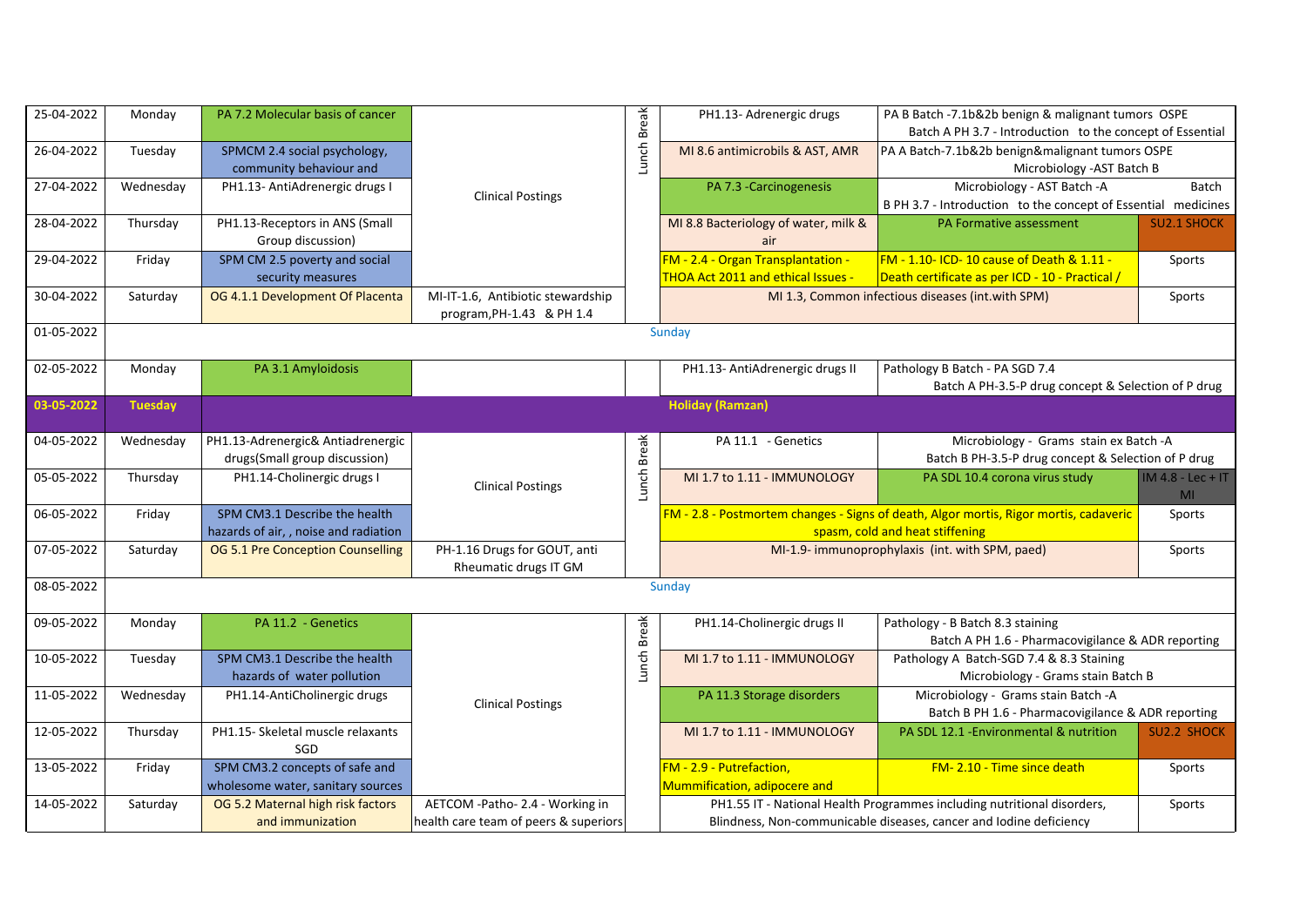| 25-04-2022 | Monday         | PA 7.2 Molecular basis of cancer                                      |                                                                           |             | PH1.13- Adrenergic drugs                                                 | PA B Batch -7.1b&2b benign & malignant tumors OSPE<br>Batch A PH 3.7 - Introduction to the concept of Essential                               |                                       |
|------------|----------------|-----------------------------------------------------------------------|---------------------------------------------------------------------------|-------------|--------------------------------------------------------------------------|-----------------------------------------------------------------------------------------------------------------------------------------------|---------------------------------------|
| 26-04-2022 | Tuesday        | SPMCM 2.4 social psychology,<br>community behaviour and               |                                                                           | Lunch Break | MI 8.6 antimicrobils & AST, AMR                                          | PA A Batch-7.1b&2b benign&malignant tumors OSPE<br>Microbiology - AST Batch B                                                                 |                                       |
| 27-04-2022 | Wednesday      | PH1.13- AntiAdrenergic drugs I                                        | <b>Clinical Postings</b>                                                  |             | PA 7.3 - Carcinogenesis                                                  | Microbiology - AST Batch - A<br>B PH 3.7 - Introduction to the concept of Essential medicines                                                 | Batch                                 |
| 28-04-2022 | Thursday       | PH1.13-Receptors in ANS (Small<br>Group discussion)                   |                                                                           |             | MI 8.8 Bacteriology of water, milk &<br>air                              | PA Formative assessment                                                                                                                       | <b>SU2.1 SHOCK</b>                    |
| 29-04-2022 | Friday         | SPM CM 2.5 poverty and social<br>security measures                    |                                                                           |             | FM - 2.4 - Organ Transplantation -<br>THOA Act 2011 and ethical Issues - | FM - 1.10- ICD- 10 cause of Death & 1.11 -<br>Death certificate as per ICD - 10 - Practical /                                                 | Sports                                |
| 30-04-2022 | Saturday       | OG 4.1.1 Development Of Placenta                                      | MI-IT-1.6, Antibiotic stewardship<br>program, PH-1.43 & PH 1.4            |             |                                                                          | MI 1.3, Common infectious diseases (int.with SPM)                                                                                             | Sports                                |
| 01-05-2022 |                |                                                                       |                                                                           |             | Sunday                                                                   |                                                                                                                                               |                                       |
| 02-05-2022 | Monday         | PA 3.1 Amyloidosis                                                    |                                                                           |             | PH1.13- AntiAdrenergic drugs II                                          | Pathology B Batch - PA SGD 7.4<br>Batch A PH-3.5-P drug concept & Selection of P drug                                                         |                                       |
| 03-05-2022 | <b>Tuesday</b> |                                                                       |                                                                           |             | <b>Holiday (Ramzan)</b>                                                  |                                                                                                                                               |                                       |
| 04-05-2022 | Wednesday      | PH1.13-Adrenergic& Antiadrenergic<br>drugs(Small group discussion)    |                                                                           | Lunch Break | PA 11.1 - Genetics                                                       | Microbiology - Grams stain ex Batch -A<br>Batch B PH-3.5-P drug concept & Selection of P drug                                                 |                                       |
| 05-05-2022 | Thursday       | PH1.14-Cholinergic drugs I                                            | <b>Clinical Postings</b>                                                  |             | MI 1.7 to 1.11 - IMMUNOLOGY                                              | PA SDL 10.4 corona virus study                                                                                                                | $IM 4.8 - Lec + IT$<br>M <sub>l</sub> |
| 06-05-2022 | Friday         | SPM CM3.1 Describe the health<br>hazards of air,, noise and radiation |                                                                           |             |                                                                          | FM - 2.8 - Postmortem changes - Signs of death, Algor mortis, Rigor mortis, cadaveric<br>spasm, cold and heat stiffening                      | Sports                                |
| 07-05-2022 | Saturday       | OG 5.1 Pre Conception Counselling                                     | PH-1.16 Drugs for GOUT, anti<br>Rheumatic drugs IT GM                     |             |                                                                          | MI-1.9- immunoprophylaxis (int. with SPM, paed)                                                                                               | Sports                                |
| 08-05-2022 |                |                                                                       |                                                                           |             | Sunday                                                                   |                                                                                                                                               |                                       |
| 09-05-2022 | Monday         | PA 11.2 - Genetics                                                    |                                                                           |             | PH1.14-Cholinergic drugs II                                              | Pathology - B Batch 8.3 staining<br>Batch A PH 1.6 - Pharmacovigilance & ADR reporting                                                        |                                       |
| 10-05-2022 | Tuesday        | SPM CM3.1 Describe the health<br>hazards of water pollution           |                                                                           | Lunch Break | MI 1.7 to 1.11 - IMMUNOLOGY                                              | Pathology A Batch-SGD 7.4 & 8.3 Staining<br>Microbiology - Grams stain Batch B                                                                |                                       |
| 11-05-2022 | Wednesday      | PH1.14-AntiCholinergic drugs                                          | <b>Clinical Postings</b>                                                  |             | PA 11.3 Storage disorders                                                | Microbiology - Grams stain Batch -A<br>Batch B PH 1.6 - Pharmacovigilance & ADR reporting                                                     |                                       |
| 12-05-2022 | Thursday       | PH1.15- Skeletal muscle relaxants<br>SGD                              |                                                                           |             | MI 1.7 to 1.11 - IMMUNOLOGY                                              | PA SDL 12.1 - Environmental & nutrition                                                                                                       | <b>SU2.2 SHOCK</b>                    |
| 13-05-2022 | Friday         | SPM CM3.2 concepts of safe and<br>wholesome water, sanitary sources   |                                                                           |             | FM - 2.9 - Putrefaction,<br>Mummification, adipocere and                 | FM-2.10 - Time since death                                                                                                                    | Sports                                |
| 14-05-2022 | Saturday       | OG 5.2 Maternal high risk factors<br>and immunization                 | AETCOM - Patho- 2.4 - Working in<br>health care team of peers & superiors |             |                                                                          | PH1.55 IT - National Health Programmes including nutritional disorders,<br>Blindness, Non-communicable diseases, cancer and Iodine deficiency | Sports                                |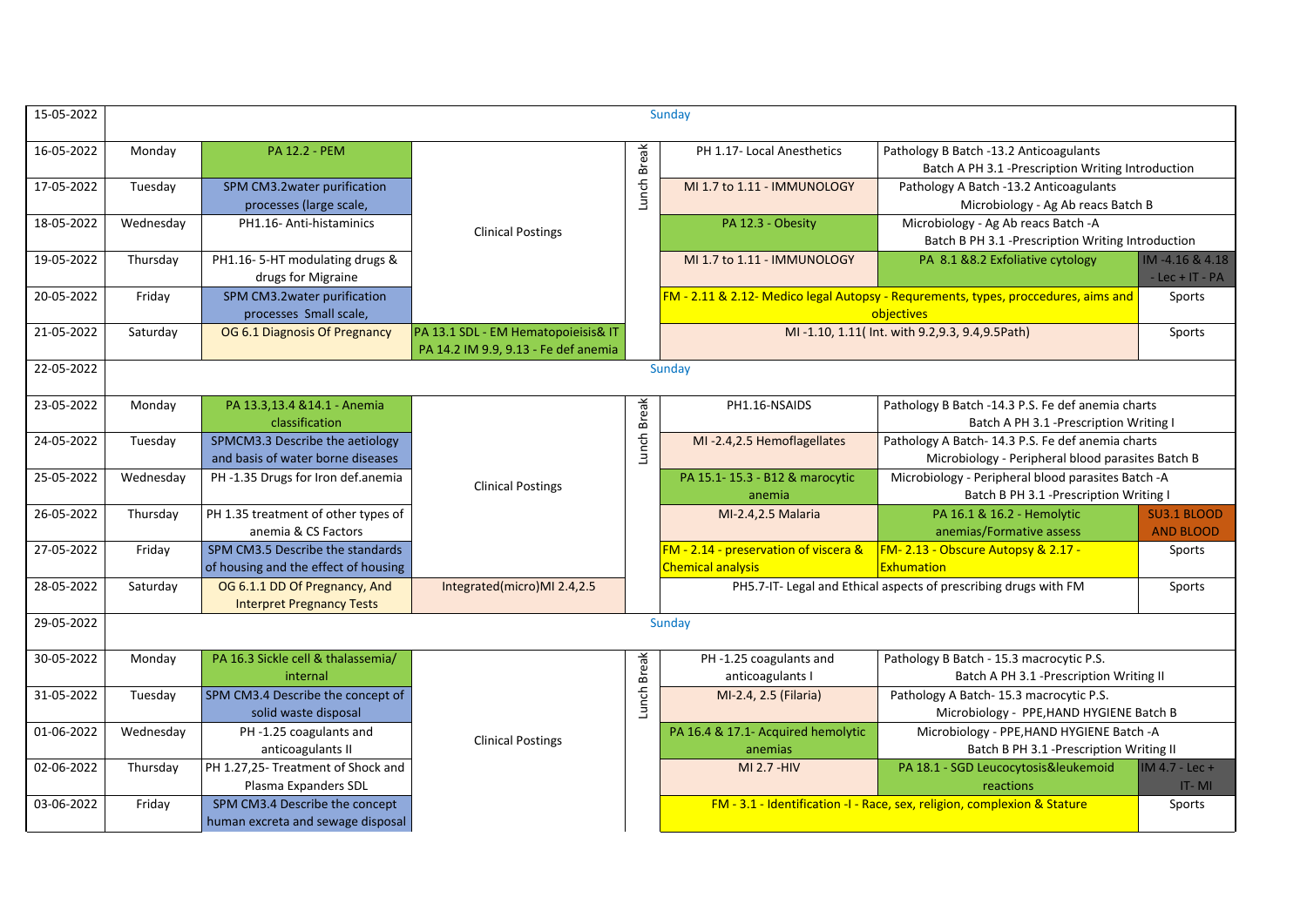| 15-05-2022 |           |                                                                          |                                                                             |             | Sunday                                                            |                                                                                                       |                                         |
|------------|-----------|--------------------------------------------------------------------------|-----------------------------------------------------------------------------|-------------|-------------------------------------------------------------------|-------------------------------------------------------------------------------------------------------|-----------------------------------------|
| 16-05-2022 | Monday    | <b>PA 12.2 - PEM</b>                                                     |                                                                             | Lunch Break | PH 1.17- Local Anesthetics                                        | Pathology B Batch -13.2 Anticoagulants<br>Batch A PH 3.1 -Prescription Writing Introduction           |                                         |
| 17-05-2022 | Tuesday   | SPM CM3.2water purification<br>processes (large scale,                   |                                                                             |             | MI 1.7 to 1.11 - IMMUNOLOGY                                       | Pathology A Batch -13.2 Anticoagulants<br>Microbiology - Ag Ab reacs Batch B                          |                                         |
| 18-05-2022 | Wednesday | PH1.16- Anti-histaminics                                                 | <b>Clinical Postings</b>                                                    |             | PA 12.3 - Obesity                                                 | Microbiology - Ag Ab reacs Batch -A<br>Batch B PH 3.1 -Prescription Writing Introduction              |                                         |
| 19-05-2022 | Thursday  | PH1.16-5-HT modulating drugs &<br>drugs for Migraine                     |                                                                             |             | MI 1.7 to 1.11 - IMMUNOLOGY                                       | PA 8.1 &8.2 Exfoliative cytology                                                                      | IM-4.16 & 4.18<br>$-$ Lec $+$ IT $-$ PA |
| 20-05-2022 | Friday    | SPM CM3.2water purification<br>processes Small scale,                    |                                                                             |             |                                                                   | FM - 2.11 & 2.12- Medico legal Autopsy - Requrements, types, proccedures, aims and<br>objectives      | Sports                                  |
| 21-05-2022 | Saturday  | OG 6.1 Diagnosis Of Pregnancy                                            | PA 13.1 SDL - EM Hematopoieisis& IT<br>PA 14.2 IM 9.9, 9.13 - Fe def anemia |             |                                                                   | MI-1.10, 1.11( Int. with 9.2, 9.3, 9.4, 9.5 Path)                                                     | Sports                                  |
| 22-05-2022 |           |                                                                          |                                                                             |             | Sunday                                                            |                                                                                                       |                                         |
| 23-05-2022 | Monday    | PA 13.3,13.4 & 14.1 - Anemia<br>classification                           |                                                                             | Lunch Break | PH1.16-NSAIDS                                                     | Pathology B Batch -14.3 P.S. Fe def anemia charts<br>Batch A PH 3.1 - Prescription Writing I          |                                         |
| 24-05-2022 | Tuesday   | SPMCM3.3 Describe the aetiology<br>and basis of water borne diseases     |                                                                             |             | MI-2.4,2.5 Hemoflagellates                                        | Pathology A Batch-14.3 P.S. Fe def anemia charts<br>Microbiology - Peripheral blood parasites Batch B |                                         |
| 25-05-2022 | Wednesday | PH-1.35 Drugs for Iron def.anemia                                        | <b>Clinical Postings</b>                                                    |             | PA 15.1-15.3 - B12 & marocytic<br>anemia                          | Microbiology - Peripheral blood parasites Batch -A<br>Batch B PH 3.1 -Prescription Writing I          |                                         |
| 26-05-2022 | Thursday  | PH 1.35 treatment of other types of<br>anemia & CS Factors               |                                                                             |             | MI-2.4,2.5 Malaria                                                | PA 16.1 & 16.2 - Hemolytic<br>anemias/Formative assess                                                | <b>SU3.1 BLOOD</b><br><b>AND BLOOD</b>  |
| 27-05-2022 | Friday    | SPM CM3.5 Describe the standards<br>of housing and the effect of housing |                                                                             |             | FM - 2.14 - preservation of viscera &<br><b>Chemical analysis</b> | FM-2.13 - Obscure Autopsy & 2.17 -<br>Exhumation                                                      | Sports                                  |
| 28-05-2022 | Saturday  | OG 6.1.1 DD Of Pregnancy, And<br><b>Interpret Pregnancy Tests</b>        | Integrated(micro)MI 2.4,2.5                                                 |             |                                                                   | PH5.7-IT- Legal and Ethical aspects of prescribing drugs with FM                                      | Sports                                  |
| 29-05-2022 |           |                                                                          |                                                                             |             | Sunday                                                            |                                                                                                       |                                         |
| 30-05-2022 | Monday    | PA 16.3 Sickle cell & thalassemia/<br>internal                           |                                                                             |             | PH-1.25 coagulants and<br>anticoagulants I                        | Pathology B Batch - 15.3 macrocytic P.S.<br>Batch A PH 3.1 -Prescription Writing II                   |                                         |
| 31-05-2022 | Tuesday   | SPM CM3.4 Describe the concept of<br>solid waste disposal                |                                                                             | Lunch Break | MI-2.4, 2.5 (Filaria)                                             | Pathology A Batch-15.3 macrocytic P.S.<br>Microbiology - PPE, HAND HYGIENE Batch B                    |                                         |
| 01-06-2022 | Wednesday | PH-1.25 coagulants and<br>anticoagulants II                              | <b>Clinical Postings</b>                                                    |             | PA 16.4 & 17.1- Acquired hemolytic<br>anemias                     | Microbiology - PPE, HAND HYGIENE Batch -A<br>Batch B PH 3.1 - Prescription Writing II                 |                                         |
| 02-06-2022 | Thursday  | PH 1.27,25- Treatment of Shock and<br>Plasma Expanders SDL               |                                                                             |             | MI 2.7 - HIV                                                      | PA 18.1 - SGD Leucocytosis&leukemoid<br>reactions                                                     | IM 4.7 - Lec +<br>$IT - MI$             |
| 03-06-2022 | Friday    | SPM CM3.4 Describe the concept<br>human excreta and sewage disposal      |                                                                             |             |                                                                   | FM - 3.1 - Identification -I - Race, sex, religion, complexion & Stature                              | Sports                                  |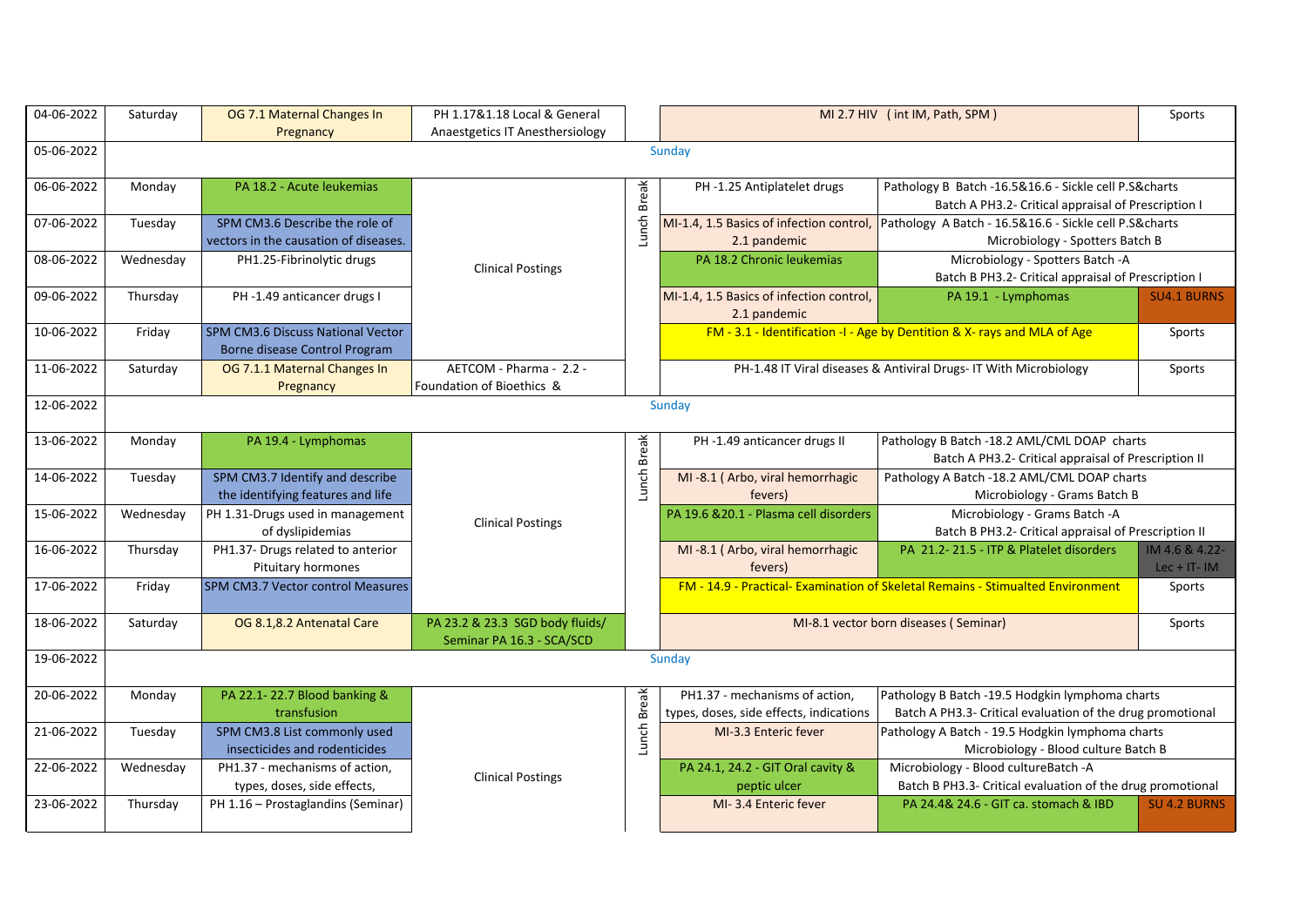| 04-06-2022 | Saturday  | OG 7.1 Maternal Changes In<br>Pregnancy                                   | PH 1.17&1.18 Local & General<br>Anaestgetics IT Anesthersiology |              |                                                                           | MI 2.7 HIV (int IM, Path, SPM)                                                                                | Sports                            |
|------------|-----------|---------------------------------------------------------------------------|-----------------------------------------------------------------|--------------|---------------------------------------------------------------------------|---------------------------------------------------------------------------------------------------------------|-----------------------------------|
| 05-06-2022 |           |                                                                           |                                                                 |              | Sunday                                                                    |                                                                                                               |                                   |
| 06-06-2022 | Monday    | PA 18.2 - Acute leukemias                                                 |                                                                 |              | PH-1.25 Antiplatelet drugs                                                | Pathology B Batch -16.5&16.6 - Sickle cell P.S&charts                                                         |                                   |
|            |           |                                                                           |                                                                 | <b>Break</b> |                                                                           | Batch A PH3.2- Critical appraisal of Prescription I                                                           |                                   |
| 07-06-2022 | Tuesday   | SPM CM3.6 Describe the role of<br>vectors in the causation of diseases.   |                                                                 | Lunch        | MI-1.4, 1.5 Basics of infection control,<br>2.1 pandemic                  | Pathology A Batch - 16.5&16.6 - Sickle cell P.S&charts<br>Microbiology - Spotters Batch B                     |                                   |
| 08-06-2022 | Wednesday | PH1.25-Fibrinolytic drugs                                                 | <b>Clinical Postings</b>                                        |              | PA 18.2 Chronic leukemias                                                 | Microbiology - Spotters Batch -A<br>Batch B PH3.2- Critical appraisal of Prescription I                       |                                   |
| 09-06-2022 | Thursday  | PH-1.49 anticancer drugs I                                                |                                                                 |              | MI-1.4, 1.5 Basics of infection control,<br>2.1 pandemic                  | PA 19.1 - Lymphomas                                                                                           | <b>SU4.1 BURNS</b>                |
| 10-06-2022 | Friday    | <b>SPM CM3.6 Discuss National Vector</b><br>Borne disease Control Program |                                                                 |              |                                                                           | FM - 3.1 - Identification -I - Age by Dentition & X- rays and MLA of Age                                      | Sports                            |
| 11-06-2022 | Saturday  | OG 7.1.1 Maternal Changes In<br>Pregnancy                                 | AETCOM - Pharma - 2.2 -<br>Foundation of Bioethics &            |              |                                                                           | PH-1.48 IT Viral diseases & Antiviral Drugs- IT With Microbiology                                             | Sports                            |
| 12-06-2022 |           |                                                                           |                                                                 |              | Sunday                                                                    |                                                                                                               |                                   |
| 13-06-2022 | Monday    | PA 19.4 - Lymphomas                                                       |                                                                 | <b>Break</b> | PH-1.49 anticancer drugs II                                               | Pathology B Batch -18.2 AML/CML DOAP charts<br>Batch A PH3.2- Critical appraisal of Prescription II           |                                   |
| 14-06-2022 | Tuesday   | SPM CM3.7 Identify and describe<br>the identifying features and life      |                                                                 | Lunch        | MI-8.1 (Arbo, viral hemorrhagic<br>fevers)                                | Pathology A Batch -18.2 AML/CML DOAP charts<br>Microbiology - Grams Batch B                                   |                                   |
| 15-06-2022 | Wednesday | PH 1.31-Drugs used in management<br>of dyslipidemias                      | <b>Clinical Postings</b>                                        |              | PA 19.6 & 20.1 - Plasma cell disorders                                    | Microbiology - Grams Batch -A<br>Batch B PH3.2- Critical appraisal of Prescription II                         |                                   |
| 16-06-2022 | Thursday  | PH1.37- Drugs related to anterior<br>Pituitary hormones                   |                                                                 |              | MI-8.1 (Arbo, viral hemorrhagic<br>fevers)                                | PA 21.2-21.5 - ITP & Platelet disorders                                                                       | IM 4.6 & 4.22-<br>Lec + $IT - IM$ |
| 17-06-2022 | Friday    | SPM CM3.7 Vector control Measures                                         |                                                                 |              |                                                                           | <b>FM - 14.9 - Practical- Examination of Skeletal Remains - Stimualted Environment</b>                        | Sports                            |
| 18-06-2022 | Saturday  | OG 8.1,8.2 Antenatal Care                                                 | PA 23.2 & 23.3 SGD body fluids/<br>Seminar PA 16.3 - SCA/SCD    |              |                                                                           | MI-8.1 vector born diseases (Seminar)                                                                         | Sports                            |
| 19-06-2022 |           |                                                                           |                                                                 |              | Sunday                                                                    |                                                                                                               |                                   |
| 20-06-2022 | Monday    | PA 22.1-22.7 Blood banking &<br>transfusion                               |                                                                 |              | PH1.37 - mechanisms of action,<br>types, doses, side effects, indications | Pathology B Batch -19.5 Hodgkin lymphoma charts<br>Batch A PH3.3- Critical evaluation of the drug promotional |                                   |
| 21-06-2022 | Tuesday   | SPM CM3.8 List commonly used<br>insecticides and rodenticides             |                                                                 | Lunch Break  | MI-3.3 Enteric fever                                                      | Pathology A Batch - 19.5 Hodgkin lymphoma charts<br>Microbiology - Blood culture Batch B                      |                                   |
| 22-06-2022 | Wednesday | PH1.37 - mechanisms of action,<br>types, doses, side effects,             | <b>Clinical Postings</b>                                        |              | PA 24.1, 24.2 - GIT Oral cavity &<br>peptic ulcer                         | Microbiology - Blood cultureBatch -A<br>Batch B PH3.3- Critical evaluation of the drug promotional            |                                   |
| 23-06-2022 | Thursday  | PH 1.16 - Prostaglandins (Seminar)                                        |                                                                 |              | MI-3.4 Enteric fever                                                      | PA 24.4& 24.6 - GIT ca. stomach & IBD                                                                         | <b>SU 4.2 BURNS</b>               |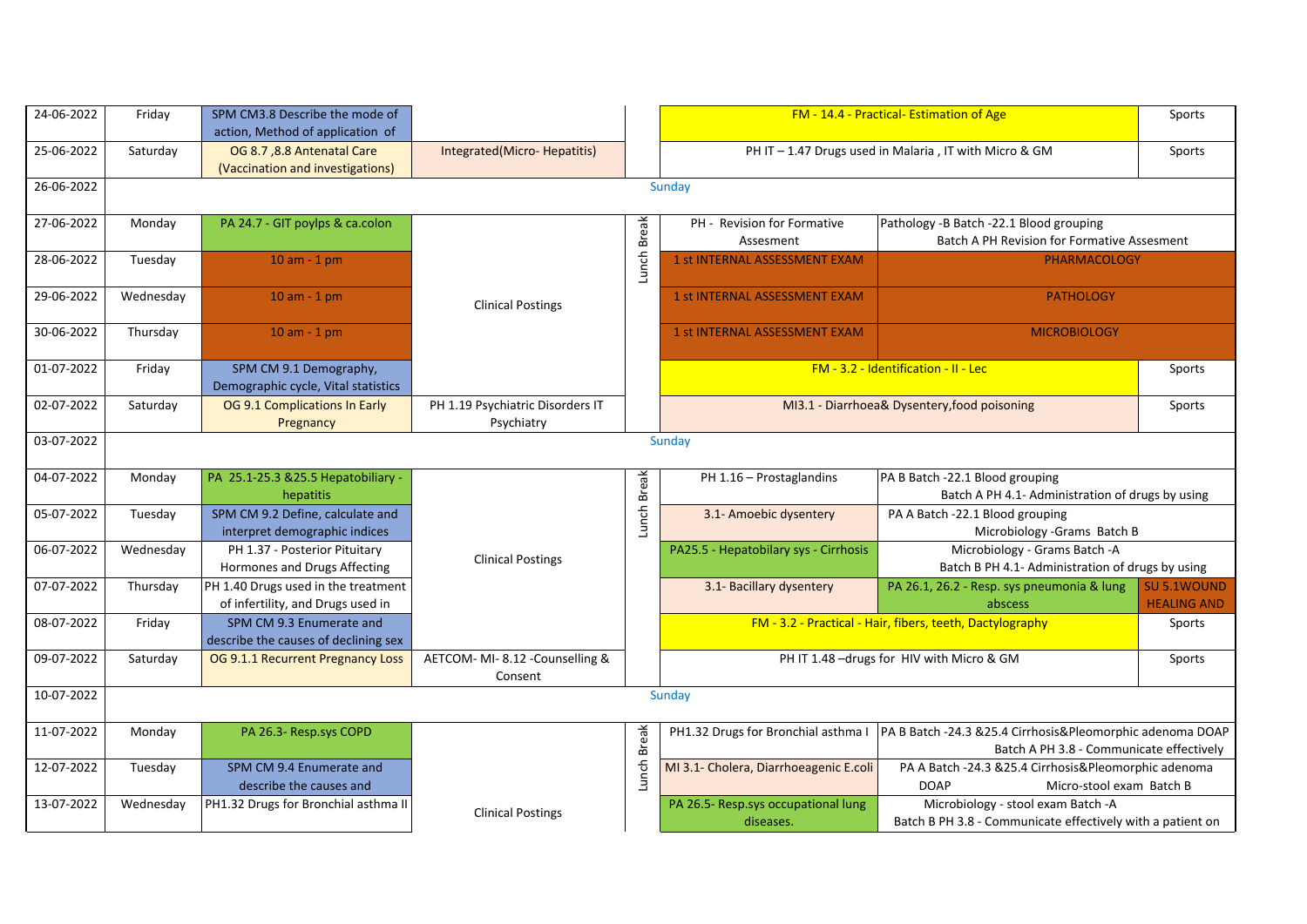| 24-06-2022 | Friday    | SPM CM3.8 Describe the mode of<br>action, Method of application of       |                                                |              |                                                  | FM - 14.4 - Practical- Estimation of Age                                                              | Sports                                   |
|------------|-----------|--------------------------------------------------------------------------|------------------------------------------------|--------------|--------------------------------------------------|-------------------------------------------------------------------------------------------------------|------------------------------------------|
| 25-06-2022 | Saturday  | OG 8.7, 8.8 Antenatal Care<br>(Vaccination and investigations)           | Integrated(Micro-Hepatitis)                    |              |                                                  | PH IT - 1.47 Drugs used in Malaria, IT with Micro & GM                                                | Sports                                   |
| 26-06-2022 |           |                                                                          |                                                |              | Sunday                                           |                                                                                                       |                                          |
| 27-06-2022 | Monday    | PA 24.7 - GIT poylps & ca.colon                                          |                                                | <b>Break</b> | PH - Revision for Formative<br>Assesment         | Pathology -B Batch -22.1 Blood grouping<br><b>Batch A PH Revision for Formative Assesment</b>         |                                          |
| 28-06-2022 | Tuesday   | $10$ am - $1$ pm                                                         |                                                | Lunch        | 1 st INTERNAL ASSESSMENT EXAM                    | <b>PHARMACOLOGY</b>                                                                                   |                                          |
| 29-06-2022 | Wednesday | $10$ am - $1$ pm                                                         | <b>Clinical Postings</b>                       |              | 1 st INTERNAL ASSESSMENT EXAM                    | <b>PATHOLOGY</b>                                                                                      |                                          |
| 30-06-2022 | Thursday  | $10$ am - $1$ pm                                                         |                                                |              | 1 st INTERNAL ASSESSMENT EXAM                    | <b>MICROBIOLOGY</b>                                                                                   |                                          |
| 01-07-2022 | Friday    | SPM CM 9.1 Demography,<br>Demographic cycle, Vital statistics            |                                                |              |                                                  | FM - 3.2 - Identification - II - Lec                                                                  | Sports                                   |
| 02-07-2022 | Saturday  | OG 9.1 Complications In Early<br>Pregnancy                               | PH 1.19 Psychiatric Disorders IT<br>Psychiatry |              |                                                  | MI3.1 - Diarrhoea& Dysentery, food poisoning                                                          | Sports                                   |
| 03-07-2022 |           |                                                                          |                                                |              | Sunday                                           |                                                                                                       |                                          |
| 04-07-2022 | Monday    | PA 25.1-25.3 & 25.5 Hepatobiliary -<br>hepatitis                         |                                                | Lunch Break  | PH 1.16 - Prostaglandins                         | PA B Batch -22.1 Blood grouping<br>Batch A PH 4.1- Administration of drugs by using                   |                                          |
| 05-07-2022 | Tuesday   | SPM CM 9.2 Define, calculate and<br>interpret demographic indices        |                                                |              | 3.1- Amoebic dysentery                           | PA A Batch -22.1 Blood grouping<br>Microbiology - Grams Batch B                                       |                                          |
| 06-07-2022 | Wednesday | PH 1.37 - Posterior Pituitary<br>Hormones and Drugs Affecting            | <b>Clinical Postings</b>                       |              | PA25.5 - Hepatobilary sys - Cirrhosis            | Microbiology - Grams Batch -A<br>Batch B PH 4.1- Administration of drugs by using                     |                                          |
| 07-07-2022 | Thursday  | PH 1.40 Drugs used in the treatment<br>of infertility, and Drugs used in |                                                |              | 3.1- Bacillary dysentery                         | PA 26.1, 26.2 - Resp. sys pneumonia & lung<br>abscess                                                 | <b>SU 5.1WOUND</b><br><b>HEALING AND</b> |
| 08-07-2022 | Friday    | SPM CM 9.3 Enumerate and<br>describe the causes of declining sex         |                                                |              |                                                  | FM - 3.2 - Practical - Hair, fibers, teeth, Dactylography                                             | Sports                                   |
| 09-07-2022 | Saturday  | OG 9.1.1 Recurrent Pregnancy Loss                                        | AETCOM- MI-8.12 - Counselling &<br>Consent     |              |                                                  | PH IT 1.48 -drugs for HIV with Micro & GM                                                             | Sports                                   |
| 10-07-2022 |           |                                                                          |                                                |              | Sunday                                           |                                                                                                       |                                          |
| 11-07-2022 | Monday    | PA 26.3- Resp.sys COPD                                                   |                                                | <b>Break</b> | PH1.32 Drugs for Bronchial asthma I              | PA B Batch -24.3 &25.4 Cirrhosis&Pleomorphic adenoma DOAP<br>Batch A PH 3.8 - Communicate effectively |                                          |
| 12-07-2022 | Tuesday   | SPM CM 9.4 Enumerate and<br>describe the causes and                      |                                                | Lunch        | MI 3.1- Cholera, Diarrhoeagenic E.coli           | PA A Batch -24.3 &25.4 Cirrhosis&Pleomorphic adenoma<br><b>DOAP</b><br>Micro-stool exam Batch B       |                                          |
| 13-07-2022 | Wednesday | PH1.32 Drugs for Bronchial asthma II                                     | <b>Clinical Postings</b>                       |              | PA 26.5- Resp.sys occupational lung<br>diseases. | Microbiology - stool exam Batch -A<br>Batch B PH 3.8 - Communicate effectively with a patient on      |                                          |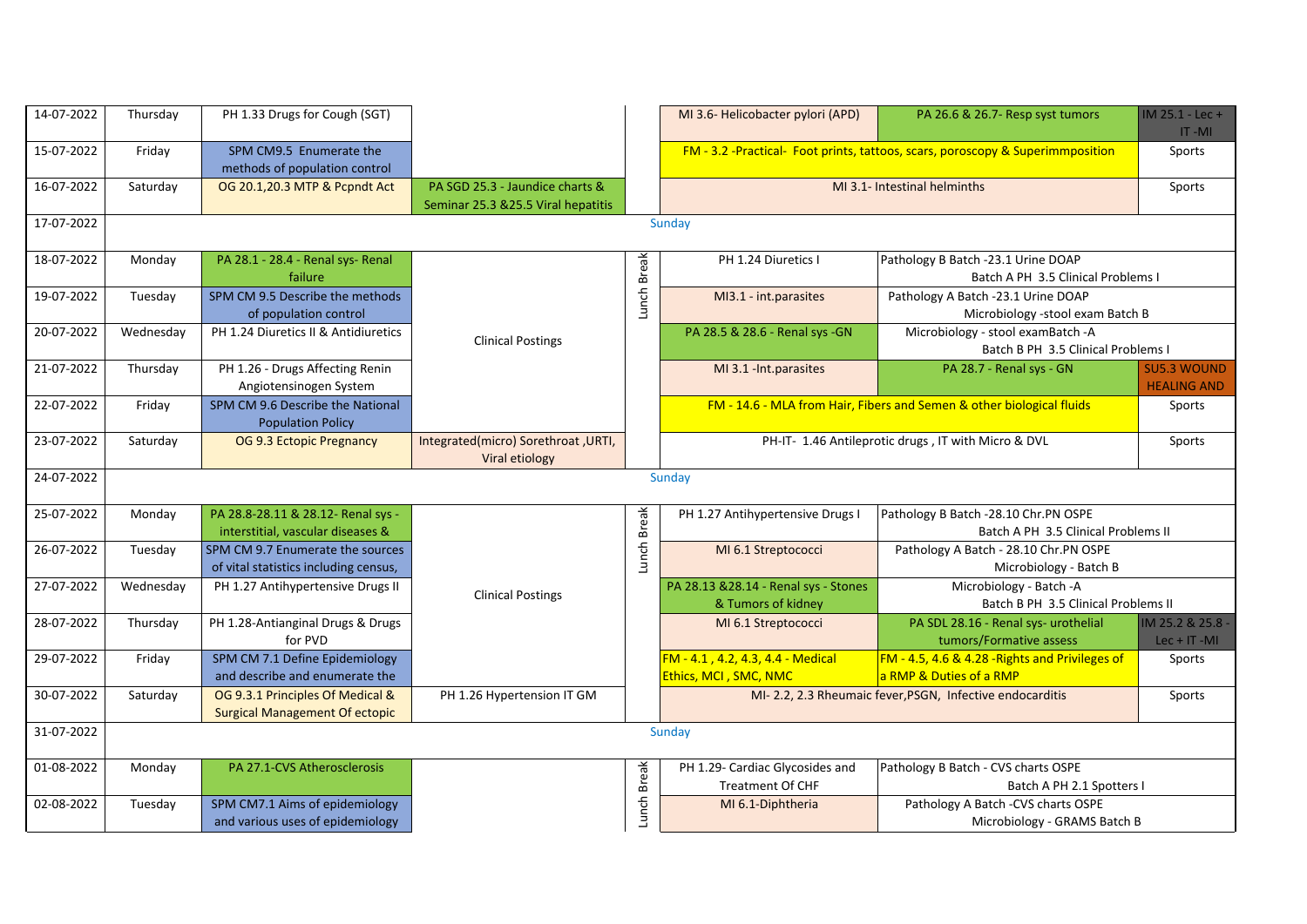| 14-07-2022 | Thursday  | PH 1.33 Drugs for Cough (SGT)                                             |                                                                        |             | MI 3.6- Helicobacter pylori (APD)                           | PA 26.6 & 26.7- Resp syst tumors                                               | $IM 25.1 - Lec +$<br>$IT -MI$            |
|------------|-----------|---------------------------------------------------------------------------|------------------------------------------------------------------------|-------------|-------------------------------------------------------------|--------------------------------------------------------------------------------|------------------------------------------|
| 15-07-2022 | Friday    | SPM CM9.5 Enumerate the<br>methods of population control                  |                                                                        |             |                                                             | FM - 3.2 -Practical- Foot prints, tattoos, scars, poroscopy & Superimmposition | Sports                                   |
| 16-07-2022 | Saturday  | OG 20.1,20.3 MTP & Pcpndt Act                                             | PA SGD 25.3 - Jaundice charts &<br>Seminar 25.3 & 25.5 Viral hepatitis |             |                                                             | MI 3.1- Intestinal helminths                                                   | Sports                                   |
| 17-07-2022 |           |                                                                           |                                                                        |             | Sunday                                                      |                                                                                |                                          |
| 18-07-2022 | Monday    | PA 28.1 - 28.4 - Renal sys- Renal<br>failure                              |                                                                        | Break       | PH 1.24 Diuretics I                                         | Pathology B Batch -23.1 Urine DOAP<br>Batch A PH 3.5 Clinical Problems I       |                                          |
| 19-07-2022 | Tuesday   | SPM CM 9.5 Describe the methods<br>of population control                  |                                                                        | Lunch       | MI3.1 - int.parasites                                       | Pathology A Batch -23.1 Urine DOAP<br>Microbiology -stool exam Batch B         |                                          |
| 20-07-2022 | Wednesday | PH 1.24 Diuretics II & Antidiuretics                                      | <b>Clinical Postings</b>                                               |             | PA 28.5 & 28.6 - Renal sys - GN                             | Microbiology - stool examBatch -A<br>Batch B PH 3.5 Clinical Problems I        |                                          |
| 21-07-2022 | Thursday  | PH 1.26 - Drugs Affecting Renin<br>Angiotensinogen System                 |                                                                        |             | MI 3.1 - Int.parasites                                      | PA 28.7 - Renal sys - GN                                                       | <b>SU5.3 WOUND</b><br><b>HEALING AND</b> |
| 22-07-2022 | Friday    | SPM CM 9.6 Describe the National<br><b>Population Policy</b>              |                                                                        |             |                                                             | FM - 14.6 - MLA from Hair, Fibers and Semen & other biological fluids          | Sports                                   |
| 23-07-2022 | Saturday  | OG 9.3 Ectopic Pregnancy                                                  | Integrated(micro) Sorethroat, URTI,<br>Viral etiology                  |             |                                                             | PH-IT- 1.46 Antileprotic drugs, IT with Micro & DVL                            | Sports                                   |
| 24-07-2022 |           |                                                                           |                                                                        |             | Sunday                                                      |                                                                                |                                          |
| 25-07-2022 | Monday    | PA 28.8-28.11 & 28.12- Renal sys -<br>interstitial, vascular diseases &   |                                                                        | Lunch Break | PH 1.27 Antihypertensive Drugs I                            | Pathology B Batch -28.10 Chr.PN OSPE<br>Batch A PH 3.5 Clinical Problems II    |                                          |
| 26-07-2022 | Tuesday   | SPM CM 9.7 Enumerate the sources<br>of vital statistics including census, |                                                                        |             | MI 6.1 Streptococci                                         | Pathology A Batch - 28.10 Chr.PN OSPE<br>Microbiology - Batch B                |                                          |
| 27-07-2022 | Wednesday | PH 1.27 Antihypertensive Drugs II                                         | <b>Clinical Postings</b>                                               |             | PA 28.13 & 28.14 - Renal sys - Stones<br>& Tumors of kidney | Microbiology - Batch -A<br>Batch B PH 3.5 Clinical Problems II                 |                                          |
| 28-07-2022 | Thursday  | PH 1.28-Antianginal Drugs & Drugs<br>for PVD                              |                                                                        |             | MI 6.1 Streptococci                                         | PA SDL 28.16 - Renal sys- urothelial<br>tumors/Formative assess                | IM 25.2 & 25.8 -<br>$Lec + IT - MI$      |
| 29-07-2022 | Friday    | SPM CM 7.1 Define Epidemiology<br>and describe and enumerate the          |                                                                        |             | FM - 4.1, 4.2, 4.3, 4.4 - Medical<br>Ethics, MCI, SMC, NMC  | FM - 4.5, 4.6 & 4.28 - Rights and Privileges of<br>a RMP & Duties of a RMP     | Sports                                   |
| 30-07-2022 | Saturday  | OG 9.3.1 Principles Of Medical &<br><b>Surgical Management Of ectopic</b> | PH 1.26 Hypertension IT GM                                             |             |                                                             | MI-2.2, 2.3 Rheumaic fever, PSGN, Infective endocarditis                       | Sports                                   |
| 31-07-2022 |           |                                                                           |                                                                        |             | Sunday                                                      |                                                                                |                                          |
| 01-08-2022 | Monday    | PA 27.1-CVS Atherosclerosis                                               |                                                                        |             | PH 1.29- Cardiac Glycosides and<br><b>Treatment Of CHF</b>  | Pathology B Batch - CVS charts OSPE<br>Batch A PH 2.1 Spotters                 |                                          |
| 02-08-2022 | Tuesday   | SPM CM7.1 Aims of epidemiology<br>and various uses of epidemiology        |                                                                        | Lunch Break | MI 6.1-Diphtheria                                           | Pathology A Batch -CVS charts OSPE<br>Microbiology - GRAMS Batch B             |                                          |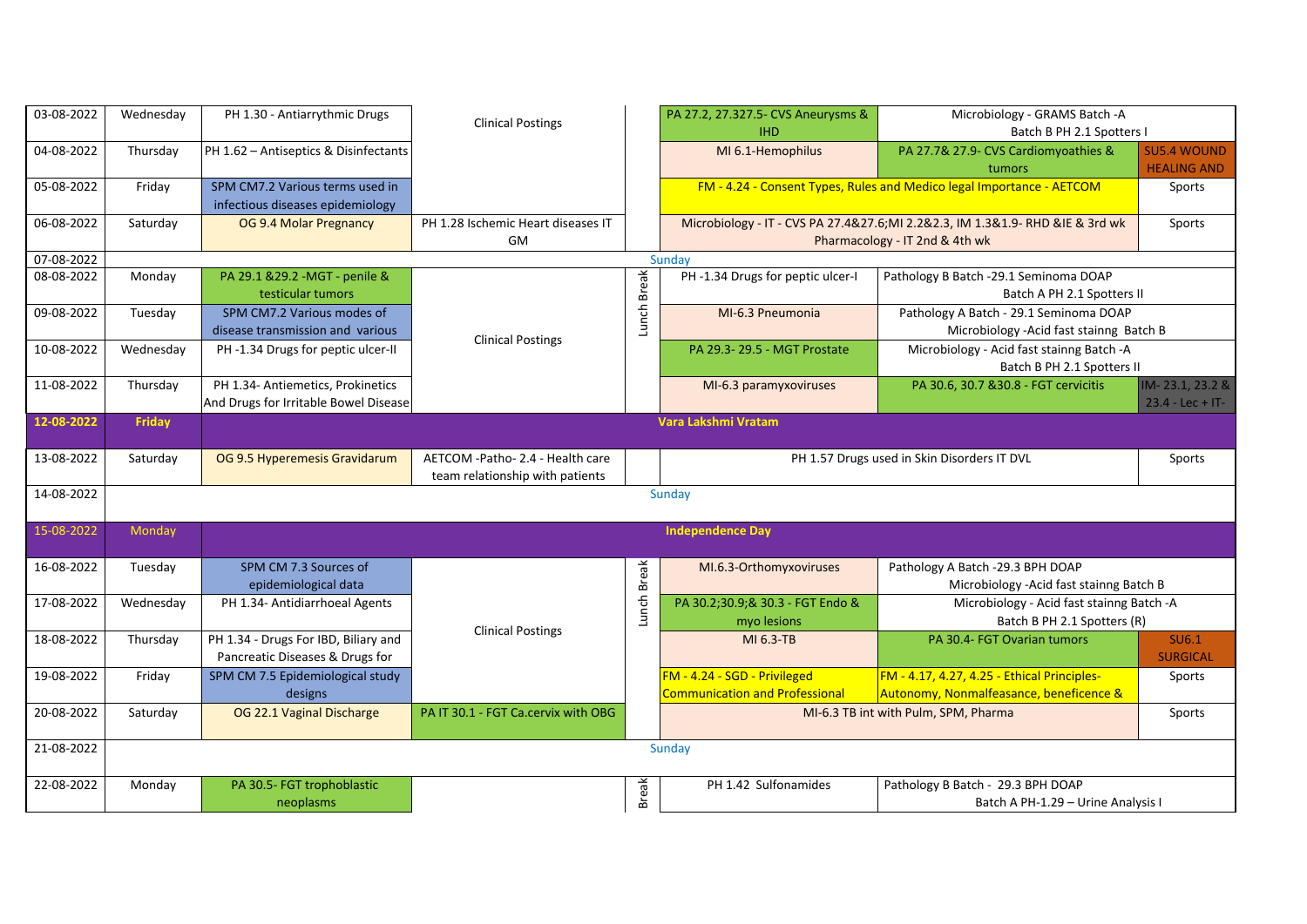| 03-08-2022 | Wednesday | PH 1.30 - Antiarrythmic Drugs                                              | <b>Clinical Postings</b>                                            |              | PA 27.2, 27.327.5- CVS Aneurysms &<br><b>IHD</b>                      | Microbiology - GRAMS Batch -A<br>Batch B PH 2.1 Spotters I                                                     |                                          |
|------------|-----------|----------------------------------------------------------------------------|---------------------------------------------------------------------|--------------|-----------------------------------------------------------------------|----------------------------------------------------------------------------------------------------------------|------------------------------------------|
| 04-08-2022 | Thursday  | PH 1.62 - Antiseptics & Disinfectants                                      |                                                                     |              | MI 6.1-Hemophilus                                                     | PA 27.7& 27.9- CVS Cardiomyoathies &<br>tumors                                                                 | <b>SU5.4 WOUND</b><br><b>HEALING AND</b> |
| 05-08-2022 | Friday    | SPM CM7.2 Various terms used in<br>infectious diseases epidemiology        |                                                                     |              |                                                                       | FM - 4.24 - Consent Types, Rules and Medico legal Importance - AETCOM                                          | Sports                                   |
| 06-08-2022 | Saturday  | OG 9.4 Molar Pregnancy                                                     | PH 1.28 Ischemic Heart diseases IT<br>GM                            |              |                                                                       | Microbiology - IT - CVS PA 27.4&27.6;MI 2.2&2.3, IM 1.3&1.9-RHD &IE & 3rd wk<br>Pharmacology - IT 2nd & 4th wk | Sports                                   |
| 07-08-2022 |           |                                                                            |                                                                     |              | Sunday                                                                |                                                                                                                |                                          |
| 08-08-2022 | Monday    | PA 29.1 & 29.2 - MGT - penile &<br>testicular tumors                       |                                                                     | <b>Break</b> | PH-1.34 Drugs for peptic ulcer-I                                      | Pathology B Batch -29.1 Seminoma DOAP<br>Batch A PH 2.1 Spotters II                                            |                                          |
| 09-08-2022 | Tuesday   | SPM CM7.2 Various modes of<br>disease transmission and various             | <b>Clinical Postings</b>                                            | Lunch        | MI-6.3 Pneumonia                                                      | Pathology A Batch - 29.1 Seminoma DOAP<br>Microbiology - Acid fast stainng Batch B                             |                                          |
| 10-08-2022 | Wednesday | PH-1.34 Drugs for peptic ulcer-II                                          |                                                                     |              | PA 29.3-29.5 - MGT Prostate                                           | Microbiology - Acid fast stainng Batch - A<br>Batch B PH 2.1 Spotters II                                       |                                          |
| 11-08-2022 | Thursday  | PH 1.34- Antiemetics, Prokinetics<br>And Drugs for Irritable Bowel Disease |                                                                     |              | MI-6.3 paramyxoviruses                                                | PA 30.6, 30.7 & 30.8 - FGT cervicitis                                                                          | IM-23.1, 23.2 &<br>$23.4 -$ Lec + IT-    |
| 12-08-2022 | Friday    |                                                                            |                                                                     |              | Vara Lakshmi Vratam                                                   |                                                                                                                |                                          |
| 13-08-2022 | Saturday  | OG 9.5 Hyperemesis Gravidarum                                              | AETCOM -Patho- 2.4 - Health care<br>team relationship with patients |              |                                                                       | PH 1.57 Drugs used in Skin Disorders IT DVL                                                                    | Sports                                   |
| 14-08-2022 |           |                                                                            |                                                                     |              | Sunday                                                                |                                                                                                                |                                          |
| 15-08-2022 | Monday    |                                                                            |                                                                     |              | <b>Independence Day</b>                                               |                                                                                                                |                                          |
| 16-08-2022 | Tuesday   | SPM CM 7.3 Sources of<br>epidemiological data                              |                                                                     | <b>Break</b> | MI.6.3-Orthomyxoviruses                                               | Pathology A Batch -29.3 BPH DOAP<br>Microbiology - Acid fast stainng Batch B                                   |                                          |
| 17-08-2022 | Wednesday | PH 1.34- Antidiarrhoeal Agents                                             | <b>Clinical Postings</b>                                            | Lunch        | PA 30.2;30.9;& 30.3 - FGT Endo &<br>myo lesions                       | Microbiology - Acid fast stainng Batch -A<br>Batch B PH 2.1 Spotters (R)                                       |                                          |
| 18-08-2022 | Thursday  | PH 1.34 - Drugs For IBD, Biliary and<br>Pancreatic Diseases & Drugs for    |                                                                     |              | MI 6.3-TB                                                             | PA 30.4- FGT Ovarian tumors                                                                                    | SU6.1<br><b>SURGICAL</b>                 |
| 19-08-2022 | Friday    | SPM CM 7.5 Epidemiological study<br>designs                                |                                                                     |              | FM - 4.24 - SGD - Privileged<br><b>Communication and Professional</b> | FM - 4.17, 4.27, 4.25 - Ethical Principles-<br>Autonomy, Nonmalfeasance, beneficence &                         | Sports                                   |
| 20-08-2022 | Saturday  | OG 22.1 Vaginal Discharge                                                  | PA IT 30.1 - FGT Ca.cervix with OBG                                 |              |                                                                       | MI-6.3 TB int with Pulm, SPM, Pharma                                                                           | Sports                                   |
| 21-08-2022 |           |                                                                            |                                                                     |              | Sunday                                                                |                                                                                                                |                                          |
| 22-08-2022 | Monday    | PA 30.5- FGT trophoblastic<br>neoplasms                                    |                                                                     | <b>Break</b> | PH 1.42 Sulfonamides                                                  | Pathology B Batch - 29.3 BPH DOAP<br>Batch A PH-1.29 - Urine Analysis I                                        |                                          |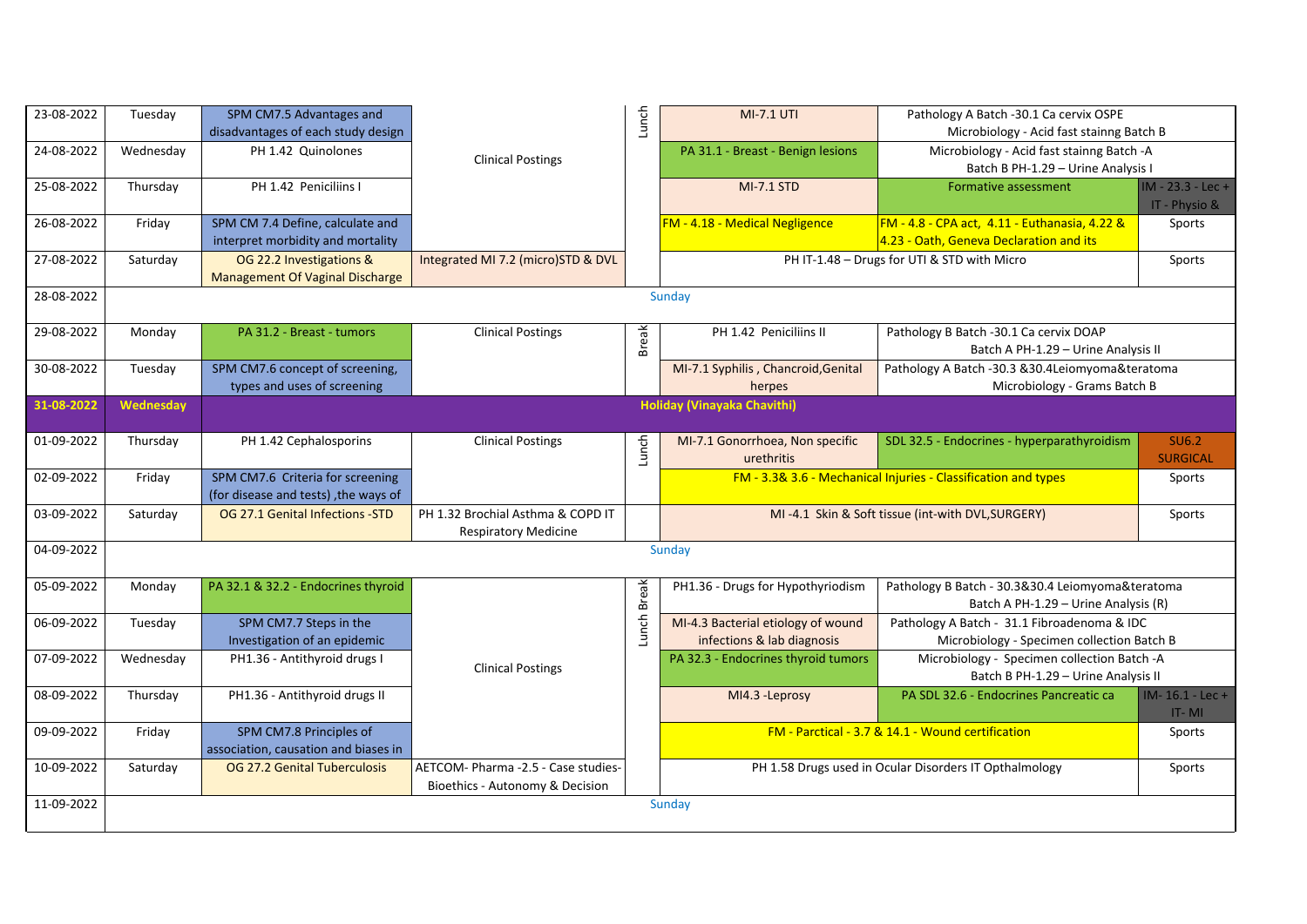| 23-08-2022 | Tuesday   | SPM CM7.5 Advantages and<br>disadvantages of each study design           |                                                                        | Lunch        | <b>MI-7.1 UTI</b>                                                | Pathology A Batch -30.1 Ca cervix OSPE<br>Microbiology - Acid fast stainng Batch B        |                                    |
|------------|-----------|--------------------------------------------------------------------------|------------------------------------------------------------------------|--------------|------------------------------------------------------------------|-------------------------------------------------------------------------------------------|------------------------------------|
| 24-08-2022 | Wednesday | PH 1.42 Quinolones                                                       | <b>Clinical Postings</b>                                               |              | PA 31.1 - Breast - Benign lesions                                | Microbiology - Acid fast stainng Batch -A<br>Batch B PH-1.29 - Urine Analysis I           |                                    |
| 25-08-2022 | Thursday  | PH 1.42 Peniciliins I                                                    |                                                                        |              | <b>MI-7.1 STD</b>                                                | Formative assessment                                                                      | IM - 23.3 - Lec +<br>IT - Physio & |
| 26-08-2022 | Friday    | SPM CM 7.4 Define, calculate and<br>interpret morbidity and mortality    |                                                                        |              | FM - 4.18 - Medical Negligence                                   | FM - 4.8 - CPA act, 4.11 - Euthanasia, 4.22 &<br>4.23 - Oath, Geneva Declaration and its  | Sports                             |
| 27-08-2022 | Saturday  | OG 22.2 Investigations &<br>Management Of Vaginal Discharge              | Integrated MI 7.2 (micro)STD & DVL                                     |              |                                                                  | PH IT-1.48 - Drugs for UTI & STD with Micro                                               | Sports                             |
| 28-08-2022 |           |                                                                          |                                                                        |              | Sunday                                                           |                                                                                           |                                    |
| 29-08-2022 | Monday    | PA 31.2 - Breast - tumors                                                | <b>Clinical Postings</b>                                               | <b>Break</b> | PH 1.42 Peniciliins II                                           | Pathology B Batch -30.1 Ca cervix DOAP<br>Batch A PH-1.29 - Urine Analysis II             |                                    |
| 30-08-2022 | Tuesday   | SPM CM7.6 concept of screening,<br>types and uses of screening           |                                                                        |              | MI-7.1 Syphilis, Chancroid, Genital<br>herpes                    | Pathology A Batch -30.3 &30.4Leiomyoma&teratoma<br>Microbiology - Grams Batch B           |                                    |
| 31-08-2022 | Wednesday |                                                                          |                                                                        |              | <b>Holiday (Vinayaka Chavithi)</b>                               |                                                                                           |                                    |
| 01-09-2022 | Thursday  | PH 1.42 Cephalosporins                                                   | <b>Clinical Postings</b>                                               | Lunch        | MI-7.1 Gonorrhoea, Non specific<br>urethritis                    | SDL 32.5 - Endocrines - hyperparathyroidism                                               | <b>SU6.2</b><br><b>SURGICAL</b>    |
| 02-09-2022 | Friday    | SPM CM7.6 Criteria for screening<br>(for disease and tests), the ways of |                                                                        |              |                                                                  | FM - 3.3& 3.6 - Mechanical Injuries - Classification and types                            | Sports                             |
| 03-09-2022 | Saturday  | OG 27.1 Genital Infections -STD                                          | PH 1.32 Brochial Asthma & COPD IT<br><b>Respiratory Medicine</b>       |              |                                                                  | MI-4.1 Skin & Soft tissue (int-with DVL, SURGERY)                                         | Sports                             |
| 04-09-2022 |           |                                                                          |                                                                        |              | Sunday                                                           |                                                                                           |                                    |
| 05-09-2022 | Monday    | PA 32.1 & 32.2 - Endocrines thyroid                                      |                                                                        | <b>Break</b> | PH1.36 - Drugs for Hypothyriodism                                | Pathology B Batch - 30.3&30.4 Leiomyoma&teratoma<br>Batch A PH-1.29 - Urine Analysis (R)  |                                    |
| 06-09-2022 | Tuesday   | SPM CM7.7 Steps in the<br>Investigation of an epidemic                   |                                                                        | Lunch        | MI-4.3 Bacterial etiology of wound<br>infections & lab diagnosis | Pathology A Batch - 31.1 Fibroadenoma & IDC<br>Microbiology - Specimen collection Batch B |                                    |
| 07-09-2022 | Wednesday | PH1.36 - Antithyroid drugs I                                             | <b>Clinical Postings</b>                                               |              | PA 32.3 - Endocrines thyroid tumors                              | Microbiology - Specimen collection Batch -A<br>Batch B PH-1.29 - Urine Analysis II        |                                    |
| 08-09-2022 | Thursday  | PH1.36 - Antithyroid drugs II                                            |                                                                        |              | MI4.3 - Leprosy                                                  | PA SDL 32.6 - Endocrines Pancreatic ca                                                    | IM-16.1 - Lec +<br>$IT - MI$       |
| 09-09-2022 | Friday    | SPM CM7.8 Principles of<br>association, causation and biases in          |                                                                        |              |                                                                  | FM - Parctical - 3.7 & 14.1 - Wound certification                                         | Sports                             |
| 10-09-2022 | Saturday  | OG 27.2 Genital Tuberculosis                                             | AETCOM- Pharma -2.5 - Case studies-<br>Bioethics - Autonomy & Decision |              |                                                                  | PH 1.58 Drugs used in Ocular Disorders IT Opthalmology                                    | Sports                             |
| 11-09-2022 |           |                                                                          |                                                                        |              | Sunday                                                           |                                                                                           |                                    |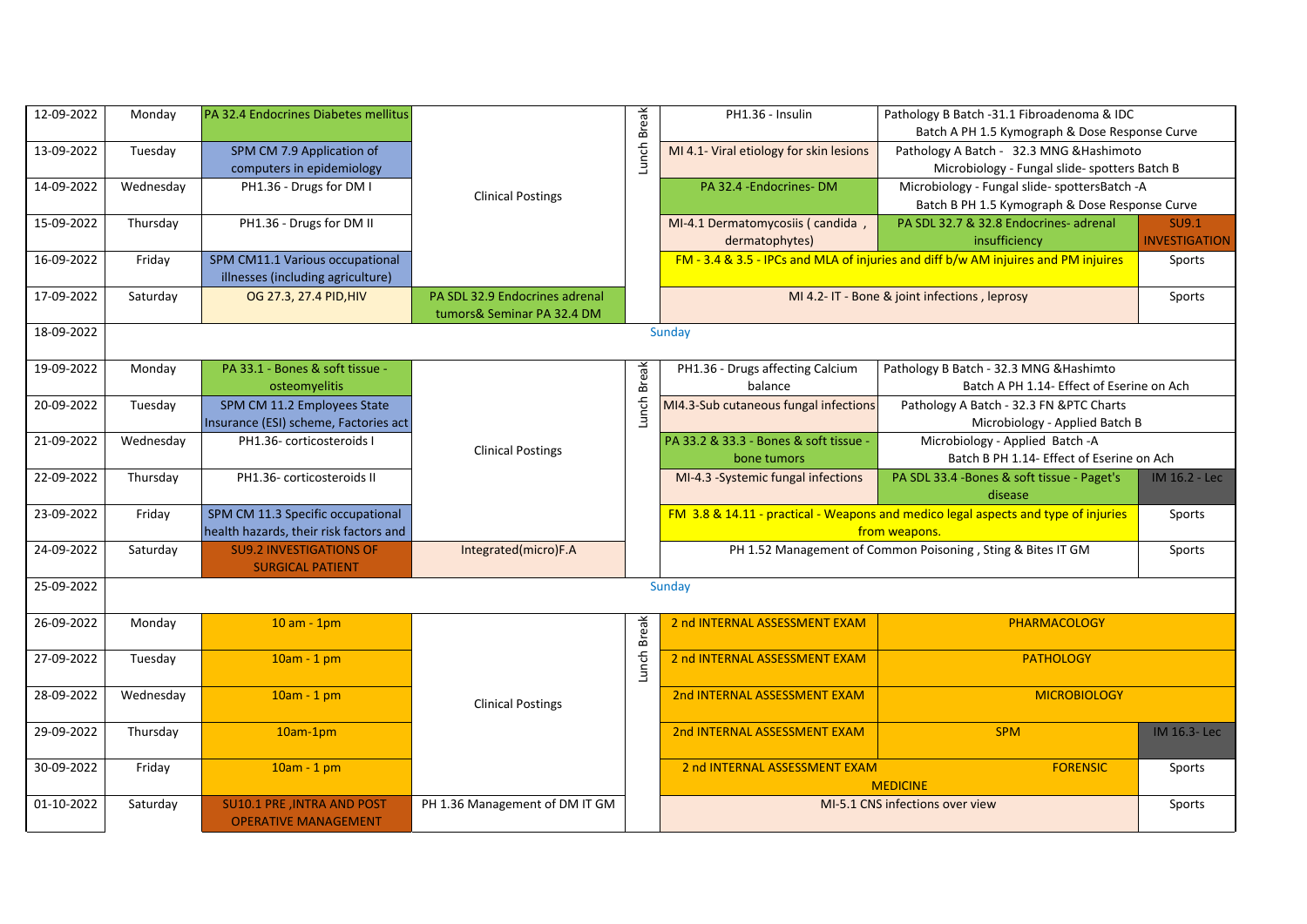| 12-09-2022 | Monday    | PA 32.4 Endocrines Diabetes mellitus                                        |                                                              |              | PH1.36 - Insulin                                      | Pathology B Batch -31.1 Fibroadenoma & IDC<br>Batch A PH 1.5 Kymograph & Dose Response Curve        |                               |
|------------|-----------|-----------------------------------------------------------------------------|--------------------------------------------------------------|--------------|-------------------------------------------------------|-----------------------------------------------------------------------------------------------------|-------------------------------|
| 13-09-2022 | Tuesday   | SPM CM 7.9 Application of<br>computers in epidemiology                      |                                                              | Lunch Break  | MI 4.1- Viral etiology for skin lesions               | Pathology A Batch - 32.3 MNG & Hashimoto<br>Microbiology - Fungal slide- spotters Batch B           |                               |
| 14-09-2022 | Wednesday | PH1.36 - Drugs for DM I                                                     | <b>Clinical Postings</b>                                     |              | PA 32.4 -Endocrines-DM                                | Microbiology - Fungal slide- spottersBatch -A<br>Batch B PH 1.5 Kymograph & Dose Response Curve     |                               |
| 15-09-2022 | Thursday  | PH1.36 - Drugs for DM II                                                    |                                                              |              | MI-4.1 Dermatomycosiis (candida,<br>dermatophytes)    | PA SDL 32.7 & 32.8 Endocrines- adrenal<br>insufficiency                                             | SU9.1<br><b>INVESTIGATION</b> |
| 16-09-2022 | Friday    | SPM CM11.1 Various occupational<br>illnesses (including agriculture)        |                                                              |              |                                                       | FM - 3.4 & 3.5 - IPCs and MLA of injuries and diff b/w AM injuires and PM injuires                  | Sports                        |
| 17-09-2022 | Saturday  | OG 27.3, 27.4 PID, HIV                                                      | PA SDL 32.9 Endocrines adrenal<br>tumors& Seminar PA 32.4 DM |              |                                                       | MI 4.2- IT - Bone & joint infections, leprosy                                                       | Sports                        |
| 18-09-2022 |           |                                                                             |                                                              |              | Sunday                                                |                                                                                                     |                               |
| 19-09-2022 | Monday    | PA 33.1 - Bones & soft tissue -<br>osteomyelitis                            |                                                              | <b>Break</b> | PH1.36 - Drugs affecting Calcium<br>balance           | Pathology B Batch - 32.3 MNG & Hashimto<br>Batch A PH 1.14- Effect of Eserine on Ach                |                               |
| 20-09-2022 | Tuesday   | SPM CM 11.2 Employees State<br>Insurance (ESI) scheme, Factories act        |                                                              | Lunch        | MI4.3-Sub cutaneous fungal infections                 | Pathology A Batch - 32.3 FN & PTC Charts<br>Microbiology - Applied Batch B                          |                               |
| 21-09-2022 | Wednesday | PH1.36- corticosteroids I                                                   | <b>Clinical Postings</b>                                     |              | PA 33.2 & 33.3 - Bones & soft tissue -<br>bone tumors | Microbiology - Applied Batch -A<br>Batch B PH 1.14- Effect of Eserine on Ach                        |                               |
| 22-09-2022 | Thursday  | PH1.36- corticosteroids II                                                  |                                                              |              | MI-4.3 -Systemic fungal infections                    | PA SDL 33.4 -Bones & soft tissue - Paget's<br>disease                                               | IM 16.2 - Lec                 |
| 23-09-2022 | Friday    | SPM CM 11.3 Specific occupational<br>health hazards, their risk factors and |                                                              |              |                                                       | FM 3.8 & 14.11 - practical - Weapons and medico legal aspects and type of injuries<br>from weapons. | Sports                        |
| 24-09-2022 | Saturday  | <b>SU9.2 INVESTIGATIONS OF</b><br><b>SURGICAL PATIENT</b>                   | Integrated(micro)F.A                                         |              |                                                       | PH 1.52 Management of Common Poisoning, Sting & Bites IT GM                                         | Sports                        |
| 25-09-2022 |           |                                                                             |                                                              |              | Sunday                                                |                                                                                                     |                               |
| 26-09-2022 | Monday    | $10 am - 1pm$                                                               |                                                              | <b>Break</b> | 2 nd INTERNAL ASSESSMENT EXAM                         | PHARMACOLOGY                                                                                        |                               |
| 27-09-2022 | Tuesday   | $10am - 1pm$                                                                |                                                              | Lunch        | 2 nd INTERNAL ASSESSMENT EXAM                         | <b>PATHOLOGY</b>                                                                                    |                               |
| 28-09-2022 | Wednesday | 10am - 1 pm                                                                 | <b>Clinical Postings</b>                                     |              | 2nd INTERNAL ASSESSMENT EXAM                          | <b>MICROBIOLOGY</b>                                                                                 |                               |
| 29-09-2022 | Thursday  | $10am-1pm$                                                                  |                                                              |              | 2nd INTERNAL ASSESSMENT EXAM                          | <b>SPM</b>                                                                                          | IM 16.3-Lec                   |
| 30-09-2022 | Friday    | $10am - 1pm$                                                                |                                                              |              | 2 nd INTERNAL ASSESSMENT EXAM                         | <b>FORENSIC</b><br><b>MEDICINE</b>                                                                  | Sports                        |
| 01-10-2022 | Saturday  | SU10.1 PRE , INTRA AND POST<br><b>OPERATIVE MANAGEMENT</b>                  | PH 1.36 Management of DM IT GM                               |              |                                                       | MI-5.1 CNS infections over view                                                                     | Sports                        |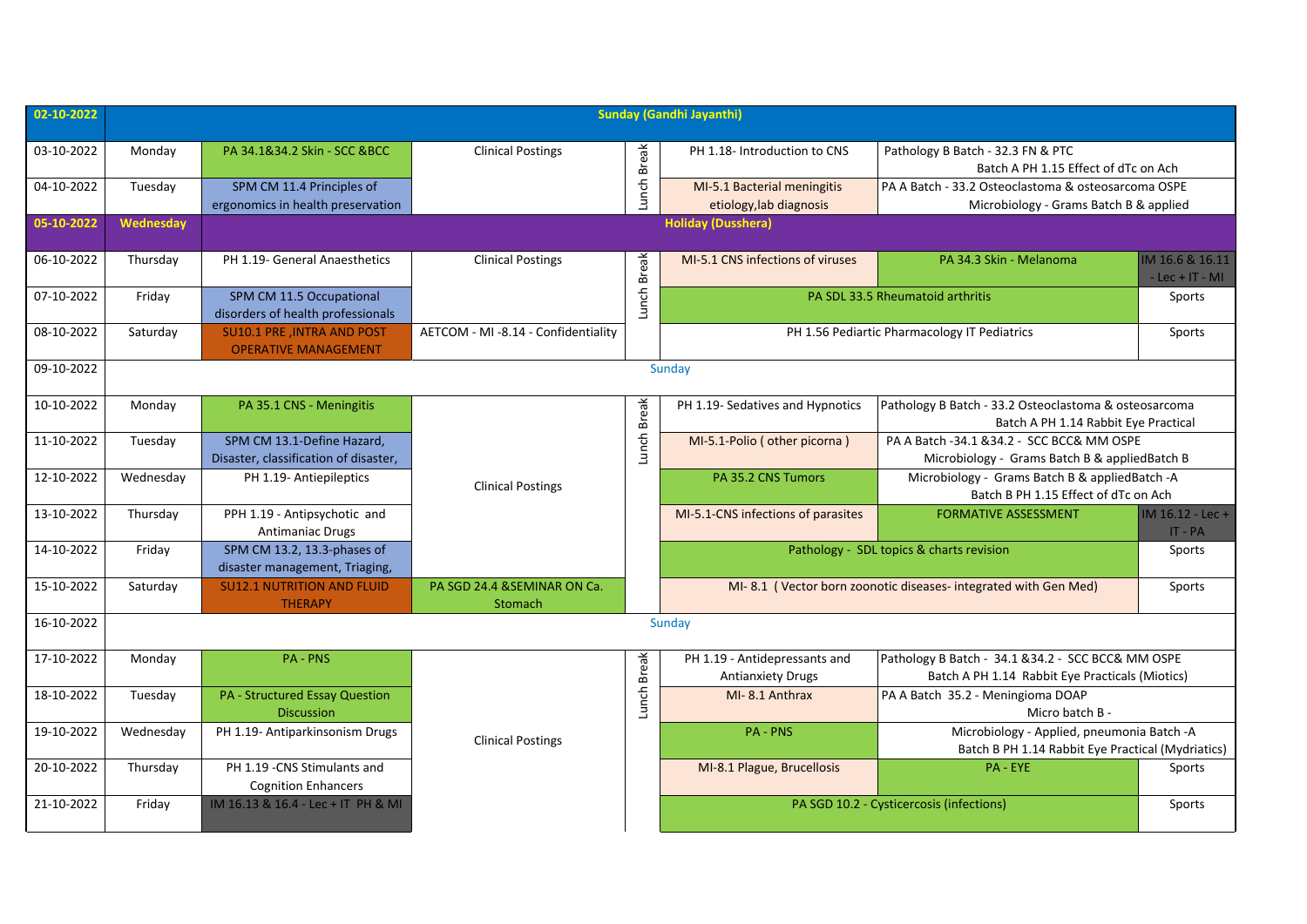| 02-10-2022 | <b>Sunday (Gandhi Jayanthi)</b> |                                                                     |                                        |              |                                                           |                                                                                                       |                                      |                                          |        |
|------------|---------------------------------|---------------------------------------------------------------------|----------------------------------------|--------------|-----------------------------------------------------------|-------------------------------------------------------------------------------------------------------|--------------------------------------|------------------------------------------|--------|
| 03-10-2022 | Monday                          | PA 34.1&34.2 Skin - SCC &BCC                                        | <b>Clinical Postings</b>               | <b>Break</b> | PH 1.18- Introduction to CNS                              | Pathology B Batch - 32.3 FN & PTC<br>Batch A PH 1.15 Effect of dTc on Ach                             |                                      |                                          |        |
| 04-10-2022 | Tuesday                         | SPM CM 11.4 Principles of<br>ergonomics in health preservation      |                                        | Lunch        | MI-5.1 Bacterial meningitis<br>etiology, lab diagnosis    | PA A Batch - 33.2 Osteoclastoma & osteosarcoma OSPE<br>Microbiology - Grams Batch B & applied         |                                      |                                          |        |
| 05-10-2022 | Wednesday                       | <b>Holiday (Dusshera)</b>                                           |                                        |              |                                                           |                                                                                                       |                                      |                                          |        |
| 06-10-2022 | Thursday                        | PH 1.19- General Anaesthetics                                       | <b>Clinical Postings</b>               | <b>Break</b> | MI-5.1 CNS infections of viruses                          | PA 34.3 Skin - Melanoma                                                                               | IM 16.6 & 16.11<br>$-$ Lec + IT - MI |                                          |        |
| 07-10-2022 | Friday                          | SPM CM 11.5 Occupational<br>disorders of health professionals       |                                        | Lunch        |                                                           | PA SDL 33.5 Rheumatoid arthritis                                                                      | Sports                               |                                          |        |
| 08-10-2022 | Saturday                        | SU10.1 PRE , INTRA AND POST<br><b>OPERATIVE MANAGEMENT</b>          | AETCOM - MI -8.14 - Confidentiality    |              |                                                           | PH 1.56 Pediartic Pharmacology IT Pediatrics                                                          | Sports                               |                                          |        |
| 09-10-2022 | Sunday                          |                                                                     |                                        |              |                                                           |                                                                                                       |                                      |                                          |        |
| 10-10-2022 | Monday                          | PA 35.1 CNS - Meningitis                                            |                                        | <b>Break</b> | PH 1.19- Sedatives and Hypnotics                          | Pathology B Batch - 33.2 Osteoclastoma & osteosarcoma<br>Batch A PH 1.14 Rabbit Eye Practical         |                                      |                                          |        |
| 11-10-2022 | Tuesday                         | SPM CM 13.1-Define Hazard,<br>Disaster, classification of disaster, |                                        | Lunch        | MI-5.1-Polio (other picorna)                              | PA A Batch -34.1 &34.2 - SCC BCC& MM OSPE<br>Microbiology - Grams Batch B & appliedBatch B            |                                      |                                          |        |
| 12-10-2022 | Wednesday                       | PH 1.19- Antiepileptics                                             | <b>Clinical Postings</b>               |              | PA 35.2 CNS Tumors                                        | Microbiology - Grams Batch B & appliedBatch -A<br>Batch B PH 1.15 Effect of dTc on Ach                |                                      |                                          |        |
| 13-10-2022 | Thursday                        | PPH 1.19 - Antipsychotic and<br><b>Antimaniac Drugs</b>             |                                        |              | MI-5.1-CNS infections of parasites                        | <b>FORMATIVE ASSESSMENT</b>                                                                           | $IM 16.12 - Lec +$<br>IT - PA        |                                          |        |
| 14-10-2022 | Friday                          | SPM CM 13.2, 13.3-phases of<br>disaster management, Triaging,       |                                        |              |                                                           |                                                                                                       |                                      | Pathology - SDL topics & charts revision | Sports |
| 15-10-2022 | Saturday                        | <b>SU12.1 NUTRITION AND FLUID</b><br><b>THERAPY</b>                 | PA SGD 24.4 &SEMINAR ON Ca.<br>Stomach |              |                                                           | MI-8.1 (Vector born zoonotic diseases-integrated with Gen Med)                                        | Sports                               |                                          |        |
| 16-10-2022 |                                 |                                                                     |                                        |              | Sunday                                                    |                                                                                                       |                                      |                                          |        |
| 17-10-2022 | Monday                          | <b>PA - PNS</b>                                                     |                                        | <b>Break</b> | PH 1.19 - Antidepressants and<br><b>Antianxiety Drugs</b> | Pathology B Batch - 34.1 & 34.2 - SCC BCC& MM OSPE<br>Batch A PH 1.14 Rabbit Eye Practicals (Miotics) |                                      |                                          |        |
| 18-10-2022 | Tuesday                         | PA - Structured Essay Question<br><b>Discussion</b>                 |                                        | Lunch        | MI-8.1 Anthrax                                            | PA A Batch 35.2 - Meningioma DOAP<br>Micro batch B -                                                  |                                      |                                          |        |
| 19-10-2022 | Wednesday                       | PH 1.19- Antiparkinsonism Drugs                                     | <b>Clinical Postings</b>               |              | <b>PA - PNS</b>                                           | Microbiology - Applied, pneumonia Batch -A<br>Batch B PH 1.14 Rabbit Eye Practical (Mydriatics)       |                                      |                                          |        |
| 20-10-2022 | Thursday                        | PH 1.19 - CNS Stimulants and<br><b>Cognition Enhancers</b>          |                                        |              | MI-8.1 Plague, Brucellosis                                | PA - EYE                                                                                              | Sports                               |                                          |        |
| 21-10-2022 | Friday                          | IM 16.13 & 16.4 - Lec + IT PH & MI                                  |                                        |              |                                                           | PA SGD 10.2 - Cysticercosis (infections)                                                              | Sports                               |                                          |        |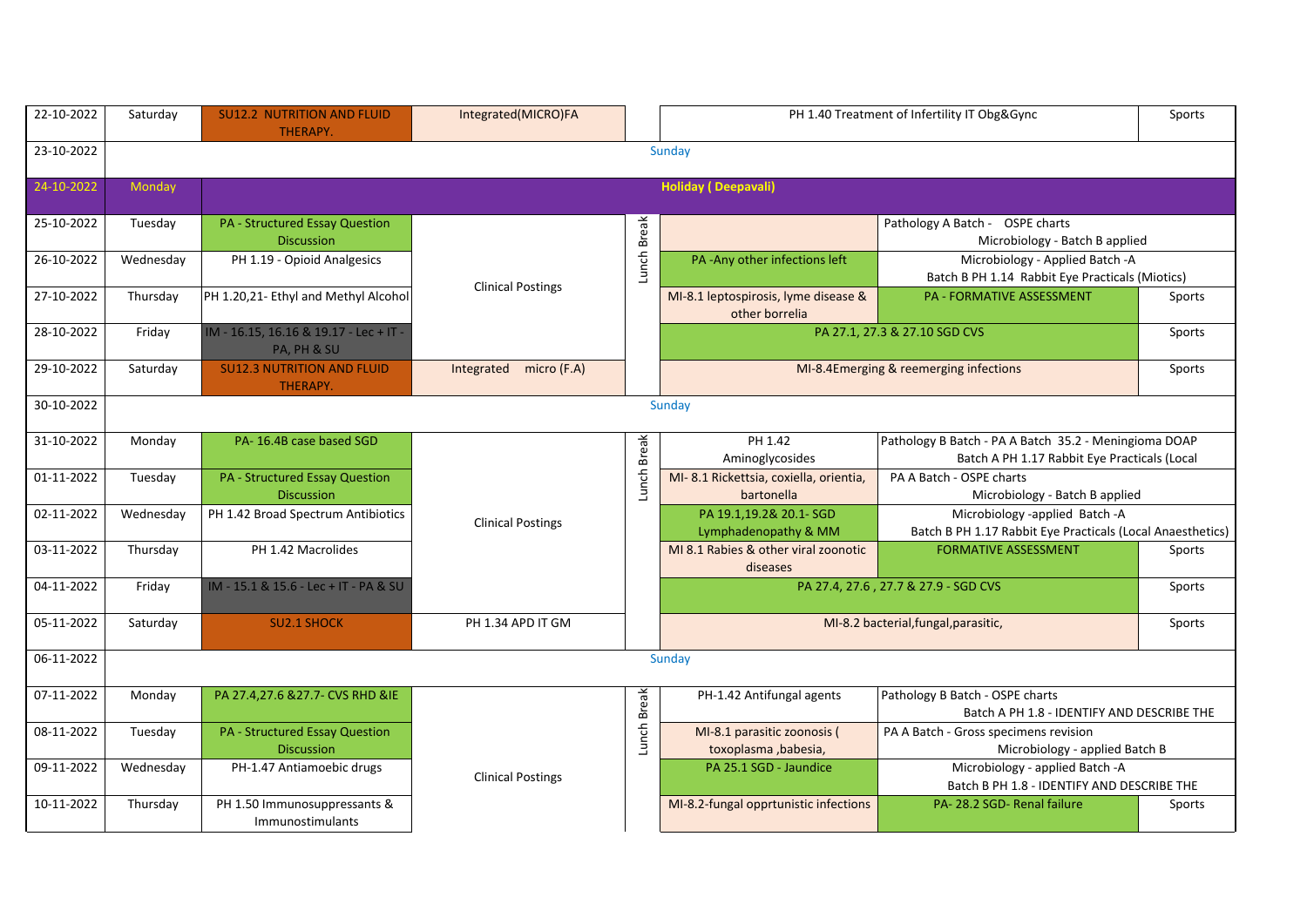| 22-10-2022 | Saturday  | <b>SU12.2 NUTRITION AND FLUID</b><br><b>THERAPY.</b>       | Integrated(MICRO)FA      |              | PH 1.40 Treatment of Infertility IT Obg&Gync           |                                                                                                       | Sports |
|------------|-----------|------------------------------------------------------------|--------------------------|--------------|--------------------------------------------------------|-------------------------------------------------------------------------------------------------------|--------|
| 23-10-2022 |           |                                                            |                          |              | Sunday                                                 |                                                                                                       |        |
| 24-10-2022 | Monday    |                                                            |                          |              | <b>Holiday (Deepavali)</b>                             |                                                                                                       |        |
| 25-10-2022 | Tuesday   | PA - Structured Essay Question<br><b>Discussion</b>        |                          |              |                                                        | Pathology A Batch - OSPE charts<br>Microbiology - Batch B applied                                     |        |
| 26-10-2022 | Wednesday | PH 1.19 - Opioid Analgesics                                | <b>Clinical Postings</b> | Lunch Break  | PA-Any other infections left                           | Microbiology - Applied Batch -A<br>Batch B PH 1.14 Rabbit Eye Practicals (Miotics)                    |        |
| 27-10-2022 | Thursday  | PH 1.20,21- Ethyl and Methyl Alcohol                       |                          |              | MI-8.1 leptospirosis, lyme disease &<br>other borrelia | <b>PA - FORMATIVE ASSESSMENT</b>                                                                      | Sports |
| 28-10-2022 | Friday    | IM - 16.15, 16.16 & 19.17 - Lec + IT -<br>PA, PH & SU      |                          |              | PA 27.1, 27.3 & 27.10 SGD CVS                          |                                                                                                       | Sports |
| 29-10-2022 | Saturday  | <b>SU12.3 NUTRITION AND FLUID</b><br>THERAPY.              | Integrated micro (F.A)   |              |                                                        | MI-8.4Emerging & reemerging infections                                                                | Sports |
| 30-10-2022 |           |                                                            |                          |              | Sunday                                                 |                                                                                                       |        |
| 31-10-2022 | Monday    | PA-16.4B case based SGD                                    |                          | <b>Break</b> | PH 1.42<br>Aminoglycosides                             | Pathology B Batch - PA A Batch 35.2 - Meningioma DOAP<br>Batch A PH 1.17 Rabbit Eye Practicals (Local |        |
| 01-11-2022 | Tuesday   | <b>PA - Structured Essay Question</b><br><b>Discussion</b> |                          | Lunch        | MI-8.1 Rickettsia, coxiella, orientia,<br>bartonella   | PA A Batch - OSPE charts<br>Microbiology - Batch B applied                                            |        |
| 02-11-2022 | Wednesday | PH 1.42 Broad Spectrum Antibiotics                         | <b>Clinical Postings</b> |              | PA 19.1,19.2& 20.1- SGD<br>Lymphadenopathy & MM        | Microbiology -applied Batch -A<br>Batch B PH 1.17 Rabbit Eye Practicals (Local Anaesthetics)          |        |
| 03-11-2022 | Thursday  | PH 1.42 Macrolides                                         |                          |              | MI 8.1 Rabies & other viral zoonotic<br>diseases       | <b>FORMATIVE ASSESSMENT</b>                                                                           | Sports |
| 04-11-2022 | Friday    | IM - 15.1 & 15.6 - Lec + IT - PA & SU                      |                          |              |                                                        | PA 27.4, 27.6, 27.7 & 27.9 - SGD CVS                                                                  | Sports |
| 05-11-2022 | Saturday  | <b>SU2.1 SHOCK</b>                                         | PH 1.34 APD IT GM        |              |                                                        | MI-8.2 bacterial, fungal, parasitic,                                                                  | Sports |
| 06-11-2022 |           |                                                            |                          |              | Sunday                                                 |                                                                                                       |        |
| 07-11-2022 | Monday    | PA 27.4,27.6 & 27.7- CVS RHD & IE                          |                          | <b>Break</b> | PH-1.42 Antifungal agents                              | Pathology B Batch - OSPE charts<br>Batch A PH 1.8 - IDENTIFY AND DESCRIBE THE                         |        |
| 08-11-2022 | Tuesday   | <b>PA - Structured Essay Question</b><br><b>Discussion</b> |                          | Lunch        | MI-8.1 parasitic zoonosis (<br>toxoplasma, babesia,    | PA A Batch - Gross specimens revision<br>Microbiology - applied Batch B                               |        |
| 09-11-2022 | Wednesday | PH-1.47 Antiamoebic drugs                                  | <b>Clinical Postings</b> |              | PA 25.1 SGD - Jaundice                                 | Microbiology - applied Batch -A<br>Batch B PH 1.8 - IDENTIFY AND DESCRIBE THE                         |        |
| 10-11-2022 | Thursday  | PH 1.50 Immunosuppressants &<br>Immunostimulants           |                          |              | MI-8.2-fungal opprtunistic infections                  | PA-28.2 SGD-Renal failure                                                                             | Sports |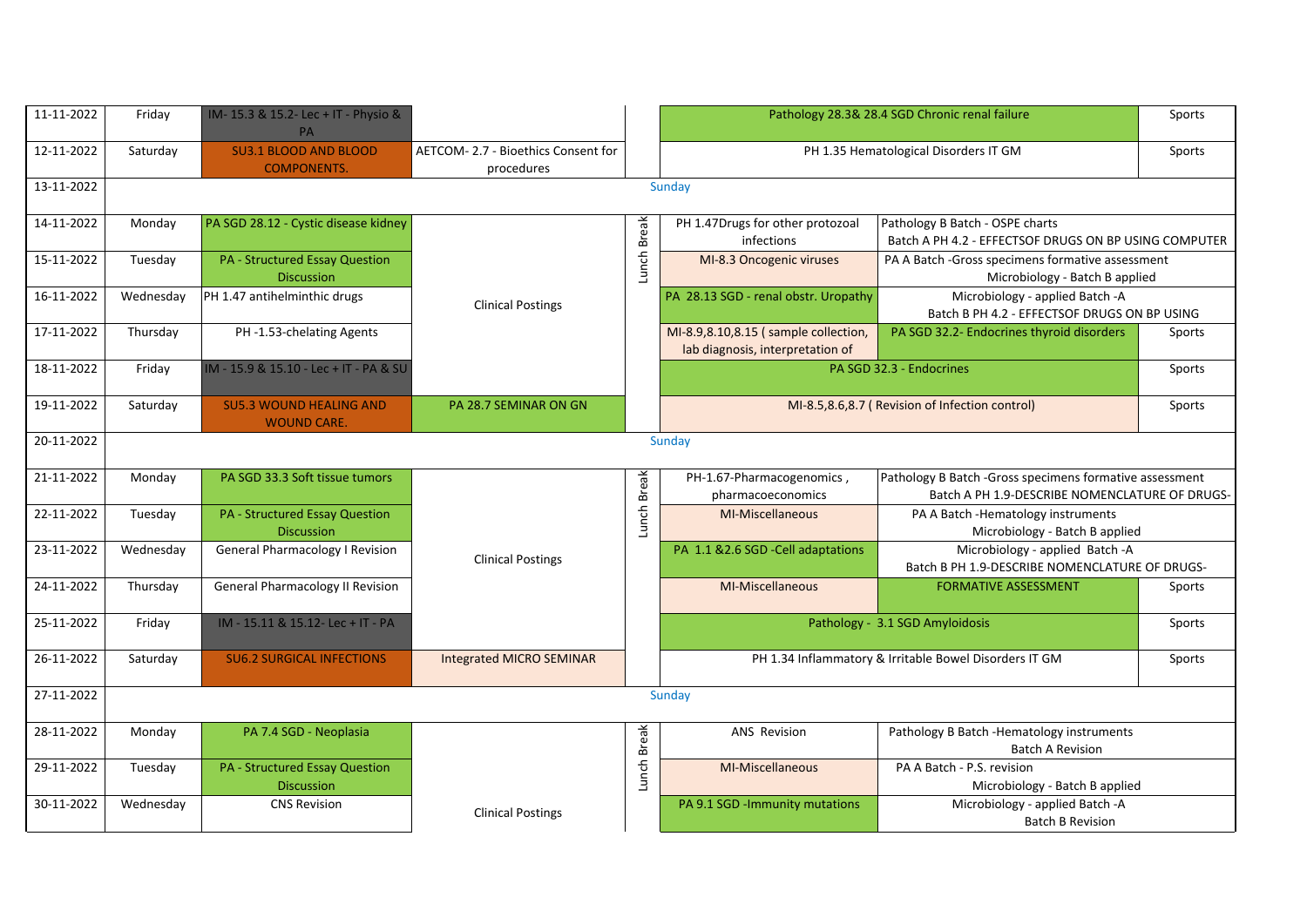| 11-11-2022 | Friday    | IM-15.3 & 15.2-Lec + IT - Physio &<br><b>PA</b>            |                                                  |              |                                                                          | Pathology 28.3& 28.4 SGD Chronic renal failure                                                            | Sports |
|------------|-----------|------------------------------------------------------------|--------------------------------------------------|--------------|--------------------------------------------------------------------------|-----------------------------------------------------------------------------------------------------------|--------|
| 12-11-2022 | Saturday  | <b>SU3.1 BLOOD AND BLOOD</b><br><b>COMPONENTS.</b>         | AETCOM-2.7 - Bioethics Consent for<br>procedures |              |                                                                          | PH 1.35 Hematological Disorders IT GM                                                                     | Sports |
| 13-11-2022 |           |                                                            |                                                  |              | Sunday                                                                   |                                                                                                           |        |
| 14-11-2022 | Monday    | PA SGD 28.12 - Cystic disease kidney                       |                                                  |              | PH 1.47Drugs for other protozoal<br>infections                           | Pathology B Batch - OSPE charts<br>Batch A PH 4.2 - EFFECTSOF DRUGS ON BP USING COMPUTER                  |        |
| 15-11-2022 | Tuesday   | <b>PA - Structured Essay Question</b><br><b>Discussion</b> |                                                  | Lunch Break  | MI-8.3 Oncogenic viruses                                                 | PA A Batch -Gross specimens formative assessment<br>Microbiology - Batch B applied                        |        |
| 16-11-2022 | Wednesday | PH 1.47 antihelminthic drugs                               | <b>Clinical Postings</b>                         |              | PA 28.13 SGD - renal obstr. Uropathy                                     | Microbiology - applied Batch -A<br>Batch B PH 4.2 - EFFECTSOF DRUGS ON BP USING                           |        |
| 17-11-2022 | Thursday  | PH-1.53-chelating Agents                                   |                                                  |              | MI-8.9,8.10,8.15 (sample collection,<br>lab diagnosis, interpretation of | PA SGD 32.2- Endocrines thyroid disorders                                                                 | Sports |
| 18-11-2022 | Friday    | IM - 15.9 & 15.10 - Lec + IT - PA & SU                     |                                                  |              |                                                                          | PA SGD 32.3 - Endocrines                                                                                  | Sports |
| 19-11-2022 | Saturday  | <b>SU5.3 WOUND HEALING AND</b><br><b>WOUND CARE.</b>       | PA 28.7 SEMINAR ON GN                            |              |                                                                          | MI-8.5,8.6,8.7 (Revision of Infection control)                                                            | Sports |
| 20-11-2022 |           |                                                            |                                                  |              | Sunday                                                                   |                                                                                                           |        |
| 21-11-2022 | Monday    | PA SGD 33.3 Soft tissue tumors                             |                                                  |              | PH-1.67-Pharmacogenomics,<br>pharmacoeconomics                           | Pathology B Batch -Gross specimens formative assessment<br>Batch A PH 1.9-DESCRIBE NOMENCLATURE OF DRUGS- |        |
| 22-11-2022 | Tuesday   | <b>PA - Structured Essay Question</b><br><b>Discussion</b> |                                                  | Lunch Break  | MI-Miscellaneous                                                         | PA A Batch - Hematology instruments<br>Microbiology - Batch B applied                                     |        |
| 23-11-2022 | Wednesday | <b>General Pharmacology I Revision</b>                     | <b>Clinical Postings</b>                         |              | PA 1.1 & 2.6 SGD - Cell adaptations                                      | Microbiology - applied Batch -A<br>Batch B PH 1.9-DESCRIBE NOMENCLATURE OF DRUGS-                         |        |
| 24-11-2022 | Thursday  | <b>General Pharmacology II Revision</b>                    |                                                  |              | MI-Miscellaneous                                                         | <b>FORMATIVE ASSESSMENT</b>                                                                               | Sports |
| 25-11-2022 | Friday    | IM - 15.11 & 15.12- Lec + IT - PA                          |                                                  |              |                                                                          | Pathology - 3.1 SGD Amyloidosis                                                                           | Sports |
| 26-11-2022 | Saturday  | <b>SU6.2 SURGICAL INFECTIONS</b>                           | Integrated MICRO SEMINAR                         |              |                                                                          | PH 1.34 Inflammatory & Irritable Bowel Disorders IT GM                                                    | Sports |
| 27-11-2022 |           |                                                            |                                                  |              | Sunday                                                                   |                                                                                                           |        |
| 28-11-2022 | Monday    | PA 7.4 SGD - Neoplasia                                     |                                                  | <b>Break</b> | <b>ANS Revision</b>                                                      | Pathology B Batch - Hematology instruments<br><b>Batch A Revision</b>                                     |        |
| 29-11-2022 | Tuesday   | <b>PA - Structured Essay Question</b><br><b>Discussion</b> |                                                  | Lunch I      | MI-Miscellaneous                                                         | PA A Batch - P.S. revision<br>Microbiology - Batch B applied                                              |        |
| 30-11-2022 | Wednesday | <b>CNS Revision</b>                                        | <b>Clinical Postings</b>                         |              | PA 9.1 SGD - Immunity mutations                                          | Microbiology - applied Batch -A<br><b>Batch B Revision</b>                                                |        |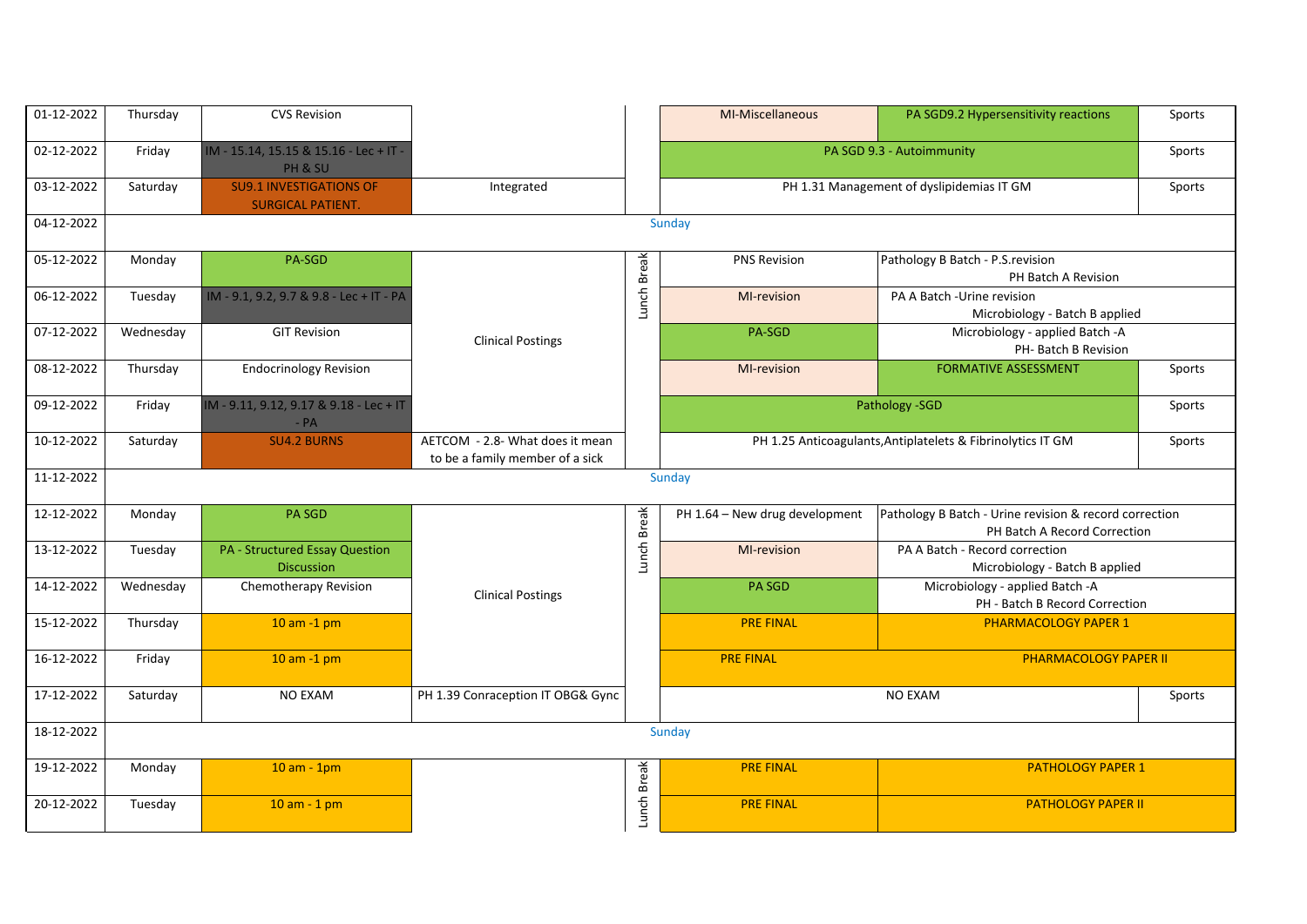| 01-12-2022 | Thursday  | <b>CVS Revision</b>                                        |                                                                    |              | MI-Miscellaneous               | PA SGD9.2 Hypersensitivity reactions                                                   | Sports |
|------------|-----------|------------------------------------------------------------|--------------------------------------------------------------------|--------------|--------------------------------|----------------------------------------------------------------------------------------|--------|
| 02-12-2022 | Friday    | IM - 15.14, 15.15 & 15.16 - Lec + IT -<br>PH & SU          |                                                                    |              |                                | PA SGD 9.3 - Autoimmunity                                                              | Sports |
| 03-12-2022 | Saturday  | <b>SU9.1 INVESTIGATIONS OF</b><br><b>SURGICAL PATIENT.</b> | Integrated                                                         |              |                                | PH 1.31 Management of dyslipidemias IT GM                                              | Sports |
| 04-12-2022 |           |                                                            |                                                                    |              | Sunday                         |                                                                                        |        |
| 05-12-2022 | Monday    | PA-SGD                                                     |                                                                    | Lunch Break  | <b>PNS Revision</b>            | Pathology B Batch - P.S. revision<br>PH Batch A Revision                               |        |
| 06-12-2022 | Tuesday   | IM - 9.1, 9.2, 9.7 & 9.8 - Lec + IT - PA                   |                                                                    |              | MI-revision                    | PA A Batch -Urine revision<br>Microbiology - Batch B applied                           |        |
| 07-12-2022 | Wednesday | <b>GIT Revision</b>                                        | <b>Clinical Postings</b>                                           |              | PA-SGD                         | Microbiology - applied Batch -A<br>PH- Batch B Revision                                |        |
| 08-12-2022 | Thursday  | <b>Endocrinology Revision</b>                              |                                                                    |              | MI-revision                    | <b>FORMATIVE ASSESSMENT</b>                                                            | Sports |
| 09-12-2022 | Friday    | IM - 9.11, 9.12, 9.17 & 9.18 - Lec + IT<br>$- PA$          |                                                                    |              |                                | Pathology - SGD                                                                        | Sports |
| 10-12-2022 | Saturday  | <b>SU4.2 BURNS</b>                                         | AETCOM - 2.8- What does it mean<br>to be a family member of a sick |              |                                | PH 1.25 Anticoagulants, Antiplatelets & Fibrinolytics IT GM                            | Sports |
| 11-12-2022 |           |                                                            |                                                                    |              | Sunday                         |                                                                                        |        |
| 12-12-2022 | Monday    | <b>PA SGD</b>                                              |                                                                    | <b>Break</b> | PH 1.64 - New drug development | Pathology B Batch - Urine revision & record correction<br>PH Batch A Record Correction |        |
| 13-12-2022 | Tuesday   | <b>PA - Structured Essay Question</b><br><b>Discussion</b> |                                                                    | Lunch        | MI-revision                    | PA A Batch - Record correction<br>Microbiology - Batch B applied                       |        |
| 14-12-2022 | Wednesday | Chemotherapy Revision                                      | <b>Clinical Postings</b>                                           |              | <b>PA SGD</b>                  | Microbiology - applied Batch -A<br>PH - Batch B Record Correction                      |        |
| 15-12-2022 | Thursday  | $10$ am $-1$ pm                                            |                                                                    |              | <b>PRE FINAL</b>               | <b>PHARMACOLOGY PAPER 1</b>                                                            |        |
| 16-12-2022 | Friday    | $10$ am $-1$ pm                                            |                                                                    |              | <b>PRE FINAL</b>               | <b>PHARMACOLOGY PAPER II</b>                                                           |        |
| 17-12-2022 | Saturday  | <b>NO EXAM</b>                                             | PH 1.39 Conraception IT OBG& Gync                                  |              |                                | <b>NO EXAM</b>                                                                         | Sports |
| 18-12-2022 |           |                                                            |                                                                    |              | Sunday                         |                                                                                        |        |
| 19-12-2022 | Monday    | $10 am - 1pm$                                              |                                                                    |              | <b>PRE FINAL</b>               | <b>PATHOLOGY PAPER 1</b>                                                               |        |
| 20-12-2022 | Tuesday   | $10 am - 1 pm$                                             |                                                                    | Lunch Break  | <b>PRE FINAL</b>               | <b>PATHOLOGY PAPER II</b>                                                              |        |